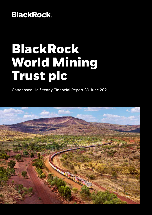# **BlackRock.**

# **BlackRock World Mining Trust plc**

Condensed Half Yearly Financial Report 30 June 2021

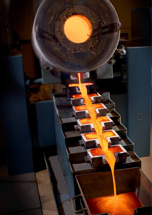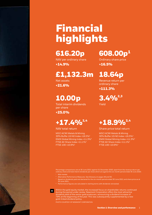# **Financial highlights**

# **616.20p**

NAV per ordinary share **+14.9%**

# **£1,132.3m**

Net assets

**+21.6%**

# **10.00p**

Total interim dividends per share

**+25.0%**

# **+17.4%2, 4**

NAV total return

MSCI ACWI Metals & Mining 30% Buffer 10/40 Index +16.5%4 EMIX Global Mining Index +11.3%4 FTSE All-Share Index +11.1%<sup>4</sup> FTSE 100 +10.9%4

# **608.00p1**

Ordinary share price **+16.5%**

**18.64p**

Revenue return per ordinary share

**+111.3%**

**3.4%2,3**

Yield

# **+18.9%2, 4**

Share price total return

MSCI ACWI Metals & Mining 30% Buffer 10/40 Index +16.5%4 EMIX Global Mining Index +11.3%4 FTSE All-Share Index +11.1%<sup>4</sup> FTSE 100 +10.9%4

Percentage comparisons are at 30 June 2021 against 31 December 2020, apart from the revenue return per ordinary share and total interim dividends per share which are against the six-month period ended 30 June 2020.

- 
- <sup>2</sup> Alternative Performance Measures. See Glossary on pages 48 and 50.
- 3 Based on dividends paid and declared for the six-month period ended 30 June 2021 and share price as at 30 June 2021.
- <sup>4</sup> Performance figures are calculated in sterling terms with dividends reinvested.

 $\left| \right.$ 

Within the gold equity market, the increased focus on shareholder returns continued during the period under review. Newmont Corporation offers the most attractive dividend yield of the senior gold producers, announcing a dividend increase of 79% at the beginning of the year. This was subsequently supplemented by a new gold-linked dividend policy.

PHOTO COURTESY OF NEWMONT CORPORATION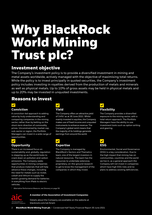# **Why BlackRock World Mining Trust plc?**

# **Investment objective**

The Company's investment policy is to provide a diversified investment in mining and metal assets worldwide, actively managed with the objective of maximising total returns. While the policy is to invest principally in quoted securities, the Company's investment policy includes investing in royalties derived from the production of metals and minerals as well as physical metals. Up to 10% of gross assets may be held in physical metals and up to 20% may be invested in unquoted investments.

# **Reasons to invest**



## **Conviction**

A conviction-led approach to adding value by truly understanding and comparing companies in the mining sector, rather than by betting on the short-term direction of commodity prices. Unconstrained by market cap, sub-sector or region, the Portfolio Managers can invest in a wide range of opportunities.

### $\checkmark$ **Opportunity**

There is an increased focus on sustainability and, globally, regulation is stepping up as the world looks to crack down on pollution and carbon emissions. The Company seeks opportunities in mining companies that produce materials that will help advance these changes, including the need for metals such as nickel, cobalt and lithium to supply the world's growing demand for batteries in everything from iPads to electric vehicles.

### $\overline{\mathscr{S}}$ **Yield**

The Company offers an attractive yield of 3.4%<sup>1</sup> as at 30 June 2021. Whilst mainly invested in equities, the Company makes use of fixed income and unquoted instruments to enhance revenue. The Company's global remit means that the majority of its holdings generate earnings from around the world.

### $\blacktriangledown$ **Expertise**

The Company is managed by BlackRock's Sectors and Thematics team, one of the largest investors in natural resources. The team has the resources to undertake extensive, proprietary, on-the-ground research to get to know the management of the companies in which they invest.

### $\overline{\mathscr{S}}$ **Flexibility**

The Company provides a diversified exposure to the mining sector, with a total return approach. The Portfolio Managers have the ability to use investment tools such as option writing and gearing.



Environmental, Social and Governance (ESG) is a key consideration. Due to the high impact that mining has on communities, countries and the world we live in, as a general approach the Company will not invest in companies which have high ESG risks and no plans to address existing deficiencies.

<sup>1</sup> Alternative Performance Measure, see Glossary on page 50.



#### **A member of the Association of Investment Companies**

Details about the Company are available on the website at blackrock.com/uk/brwm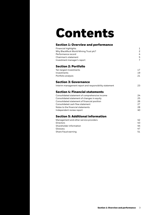# **Contents**

### **Section 1: Overview and performance**

| <b>Financial highlights</b>                            | 1              |
|--------------------------------------------------------|----------------|
| Why BlackRock World Mining Trust plc?                  | $\overline{2}$ |
| Performance record                                     | 4              |
| Chairman's statement                                   | 5              |
| Investment manager's report                            | 7              |
| <b>Section 2: Portfolio</b>                            |                |
| Ten largest investments                                | 17             |
| Investments                                            | 19             |
| Portfolio analysis                                     | 21             |
| <b>Section 3: Governance</b>                           |                |
| Interim management report and responsibility statement | 23             |
| <b>Section 4: Financial statements</b>                 |                |
| Consolidated statement of comprehensive income         | 24             |
| Consolidated statement of changes in equity            | 25             |
| Consolidated statement of financial position           | 26             |
| Consolidated cash flow statement                       | 27             |
| Notes to the financial statements                      | 28             |
| Independent review report                              | 40             |
|                                                        |                |

## **Section 5: Additional information**

| Management and other service providers | 42 |
|----------------------------------------|----|
| Directors                              | 43 |
| Shareholder information                | 44 |
| Glossary                               | 47 |
| Share fraud warning                    | 51 |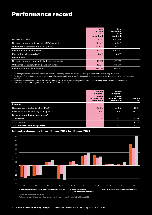# **Performance record**

|                                                                    | As at<br>30 June<br>2021<br>(unaudited) | As at<br>31 December<br>2020<br>(audited) |  |
|--------------------------------------------------------------------|-----------------------------------------|-------------------------------------------|--|
| Net assets $(E'000)^1$                                             | 1,132,270                               | 930.825                                   |  |
| Net asset value per ordinary share (NAV) (pence)                   | 616.20                                  | 536.34                                    |  |
| Ordinary share price (mid-market) (pence)                          | 608.00                                  | 522.00                                    |  |
| Reference Index <sup>4</sup> – net total return                    | 5,318.93                                | 4.566.93                                  |  |
| Discount to net asset value <sup>2,3</sup>                         | 1.3%                                    | 2.7%                                      |  |
| <b>Performance</b>                                                 |                                         |                                           |  |
| Net asset value per share (with dividends reinvested) <sup>3</sup> | $+17.4%$                                | $+31.8%$                                  |  |
| Ordinary share price (with dividends reinvested) <sup>3</sup>      | $+18.9%$                                | +46.7%                                    |  |
| Reference Index - net total return <sup>4</sup>                    | $+16.5%$                                | $+20.6%$                                  |  |

 $1$  The change in net assets reflects market movements, dividends paid and the reissue of ordinary shares from treasury during the period.

<sup>2</sup> This is the difference between the share price and NAV per share with debt at par. Further details of the calculation of the discount are given in the Glossary on page 47.

<sup>3</sup> Alternative Performance Measures, see Glossary on pages 47 to 50. Performance figures are calculated in sterling terms with dividends reinvested.

4 MSCI ACWI Metals & Mining 30% Buffer 10/40 Index (net total return).

|                                           | For the<br>six months<br>ended<br>30 June 2021<br>(unaudited) | For the<br>six months<br>ended<br>30 June 2020<br>(unaudited) | <b>Change</b><br>$\frac{9}{6}$ |
|-------------------------------------------|---------------------------------------------------------------|---------------------------------------------------------------|--------------------------------|
| <b>Revenue</b>                            |                                                               |                                                               |                                |
| Net revenue profit after taxation (£'000) | 33,243                                                        | 15.342                                                        | $+116.7$                       |
| Revenue return per ordinary share (pence) | 18.64                                                         | 8.82                                                          | $+111.3$                       |
| Dividend per ordinary share (pence)       |                                                               |                                                               |                                |
| - 1st interim                             | 4.50                                                          | 4.00                                                          | $+12.5$                        |
| - 2nd interim                             | 5.50                                                          | 4.00                                                          | $+37.5$                        |
| <b>Total dividends paid and payable</b>   | 10.00                                                         | 8.00                                                          | $+25.0$                        |

#### **Annual performance from 30 June 2012 to 30 June 2021**



Sources: BlackRock and Datastream.

Performance data relates to annual performance for the years ended 30 June 2012 to 30 June 2021.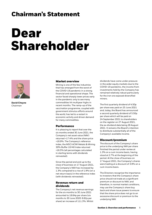# **Chairman's Statement**

# **Dear Shareholder**



**David Cheyne** Chairman

#### **Market overview**

Mining is one of the few industries that has emerged from the worst of the COVID-19 pandemic in a strong financial and operational shape. The sector faced sharply lower prices early in the pandemic only to see many commodities hit multiyear highs in recent months. The ramp-up of the vaccination programme, coupled with government stimulus efforts around the world, has led to a restart in economic activity and driven demand for many commodities.

#### **Performance**

It is pleasing to report that over the six months ended 30 June 2021, the Company's net asset value (NAV) returned +17.4% and the share price +18.9%. The Company's reference index, the MSCI ACWI Metals & Mining 30% Buffer 10/40 Index returned +16.5% (all percentages calculated in sterling terms with dividends reinvested).

Since the period end and up to the close of business on 17 August 2021, the Company's NAV has increased by 1.3% compared to a rise of 1.9% (on a net return basis) in the reference index (with dividends reinvested).

#### **Revenue return and dividends**

The Company's net revenue earnings for the six months to 30 June 2021 amounted to 18.64p per share (six months to 30 June 2020: 8.82p per share) an increase of 111.3%. Whilst dividends have come under pressure in the wider equity markets due to the COVID-19 pandemic, the income from investments held by the Company has remained relatively robust particularly for the iron ore exposed diversified miners

The first quarterly dividend of 4.50p per share was paid on 25 June 2021 and, today, the Board has announced a second quarterly dividend of 5.50p per share which will be paid on 24 September 2021 to shareholders on the register on 27 August 2021, the ex-dividend date being 26 August 2021. It remains the Board's intention to distribute substantially all of the Company's available income.

#### **Discount/premium**

The discount of the Company's share price to the underlying NAV per share finished the period under review at 1.3% on a cum income basis, having stood at 2.7% at the beginning of the period. At the close of business on 17 August 2021, the Company's shares were trading at a discount of 3.9% on a cum income basis.

The Directors recognise the importance to investors that the Company's share price should not trade at a significant premium or discount to NAV, and therefore, in normal market conditions, may use the Company's share buy back and share issue powers to ensure that the share price does not go to an excessive discount or premium to the underlying NAV.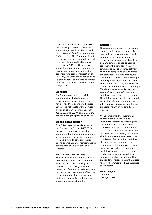Over the six months to 30 June 2021, the Company's shares have traded at an average premium of 0.2%, and within a range of a 4.9% discount to a 3.4% premium. The Company did not buy back any shares during the period. From early February, the Company has reissued 10,200,000 ordinary shares from treasury at a premium to NAV at an average price of 619.48p per share for a total consideration of £63,187,000. Since the period end and up to the date of this report, no further ordinary shares have been reissued or bought back.

#### **Gearing**

The Company operates a flexible gearing policy which depends on prevailing market conditions. It is not intended that gearing will exceed 25% of the net assets of the Company and its subsidiary. Gearing as at 30 June 2021 was 12.4% and maximum gearing during the period was 14.2%.

#### **Board composition**

Ollie Oliveira retired as a Director of the Company on 31 July 2021. This followed the announcement of his appointment to the board of Vale which is the Company's largest investment. The Board would like to express its strong appreciation for his tremendous contribution during his time as a Director.

We are delighted to welcome Srinivasan Venkatakrishnan (Venkat) to the Board. Venkat was appointed as a Director of the Company on 1 August 2021 and brings a wealth of mining and financial experience gained through his vast experience of leading global mining businesses, in a career that spans across six continents and several metals, notably gold.

#### **Outlook**

The near-term outlook for the mining sector remains strong as signs of an economic recovery in many countries continue. Synchronised global infrastructure spending and pent-up demand emerging post-pandemic, together with a time-lag in supply catching up due to underinvestment by mining companies, should create the prospect of a structural upcycle for commodity prices. Climate change and the journey to net zero on carbon emissions will also likely boost demand for certain commodities such as copper (for electric vehicles and charging stations), and lithium (for batteries), and drive some of these prices higher. The mining sector has also performed particularly strongly during periods with significant increases in inflation expectations, which we could see this year.

At the same time, the investment environment is uncertain and volatility is expected to remain given the potential for further waves of COVID-19 infections, a deterioration in US-China trade relations given their importance to the mining sector, and should mining companies revert back to old ways of poor capital discipline, although we are encouraged by management statements and current lower levels of debt. The Company's portfolio is mainly focused on larger market capitalisation, established companies and we see potential for dividends to increase given that prices for mined commodities have surprised to the upside.

#### **David Cheyne**

Chairman 19 August 2021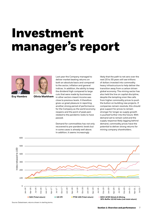# **Investment manager's report**





**Evy Hambro Olivia Markham**

Last year the Company managed to deliver market beating returns on both an absolute basis and compared to the sector, inflation and general indices. In addition, the ability to keep the dividend high compared to large cuts that were made by businesses in other sectors meant income was close to previous levels. It therefore gives us great pleasure in reporting another strong period of performance for the Company as the world economy reopens and the point of peak pain related to the pandemic looks to have passed.

Demand for commodities has not only recovered to pre-pandemic levels but in some cases is already well above. In addition, it seems increasingly

likely that the path to net zero over the next 20 to 30 years will see trillions of dollars invested into commodity heavy infrastructure to help deliver the transition away from a carbon driven global economy. The mining sector has also held the line on capital discipline, despite the tempting siren like calls from higher commodity prices to push the button on building new projects. If companies remain resolute, this should give support for prices to remain stronger for longer as supply growth is pushed further into the future. With demand set to remain solid and the supply response likely lagging behind demand, commodity prices have the potential to deliver strong returns for mining company shareholders.



Source: Datastream, returns shown in sterling terms.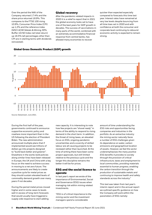Over the period the NAV of the Company returned 17.4% and the share price returned 18.9%. This compares to the FTSE 100 rising 10.9%, Consumer Price Index (CPI) up 1.2% and the reference index (MSCI ACWI Metals & Mining 30% Buffer 10/40 Index net total return) up 16.5% (all percentages other than CPI are in sterling terms with dividends reinvested).

#### **Global recovery**

After the pandemic related impacts in 2020 it is a relief to report that in 2021 the global economy looks set to have one of the best years for GDP growth in decades. The success of vaccinations in many parts of the world, combined with an extremely accommodative financial response from central banks, has allowed many economies to recover

quicker than expected especially compared to forecasts this time last year. Interest rates have remained at very low levels despite bouncing from all time lows set in 2020 and with confidence at both the consumer and corporate level continuing to rebound economic activity is expected to remain strong.





Source: Datastream, June 2021.

During the first half of the year, governments continued to announce supportive economic policy and nowhere more important than in the US following the election of President Biden. The new administration announced multiple plans that if implemented would see trillions of dollars go into projects designed to "build back better and greener". Elsewhere in the world, bold policies along similar lines have been released in Europe, the UK and China with a key focus on the need to achieve success in moving to a net zero future. The announcements are likely to create a positive cycle for metal prices as they should sustain elevated levels of commodity demand growth over many years if not decades.

During the period metal prices moved higher and in some cases to levels well in excess of long-term forecasts that would usually have triggered a supply side response to start adding

new capacity. It is interesting to note how few projects are "shovel ready" in terms of the ability to respond to rising demand in the short term. In addition, the threat of rising taxes, an elevated focus on ESG, ongoing pandemic uncertainties and a scarcity of skilled labour are all causing projects to be reviewed rather than launched. At the time of writing there have been some project approvals, but still limited relative to the previous cycle and the longer this discipline remains the better it will be for prices.

#### **ESG and the social licence to operate**

In last year's report we wrote of the importance of Environmental, Social and Governance (ESG) issues when managing risk within mining related investments.

*"ESG is of critical importance to the mining sector and the investment managers spend a considerable* 

*amount of time understanding the ESG risks and opportunities facing companies and industries in the portfolio. As an extractive industry the mining sector naturally faces a number of ESG challenges given its dependence on water, carbon emissions and geographical location of assets. However, we feel the sector underemphasises the many positive ESG benefits it provides to society through the provision of critical infrastructure, taxes and employment to local communities, providing materials essential to human progress, enabling the carbon transition through the production of sustainable metals and continuing to improve health and safety standards across the industry."*

This text was taken from last year's interim report and in the annual report we outlined specific guidance on how the Company will work within the parameters of ESG namely: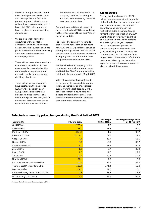- ESG is an integral element of the investment process used to build and manage the portfolio. As a general approach, the Company will not invest in companies which have high ESG risks, and which have no plans to address existing deficiencies.
- We are also challenging the executives of the portfolio companies in which we invest to set out how their current business plans are compatible with achieving a net zero carbon emissions economy by 2050.
- There will be cases where a serious event has occurred and, in that case, we will assess whether the company is taking appropriate action to resolve matters before deciding what to do.
- There will be companies which have derated on the back of an ESG event or generally poor ESG practices and there may be opportunities to invest at a discounted price. However, we will only invest in these value-based opportunities if we are satisfied

that there is real evidence that the company's culture has changed and that better operating practices have been put in place.

During the period the main areas of focus remained on ESG issues relating to Rio Tinto, Norilsk Nickel and Vale. By way of an update:

Rio Tinto – the company has made progress with regards to announcing new CEO and CFO positions, as well as adding heritage expertise to the board. The search for a replacement chairman is ongoing with the aim for this to be completed before the end of 2021.

Norilsk Nickel – the company had a number of new environmental issues and fatalities. The Company exited its holding in the company in March 2021.

Vale – the company has continued on its journey to raise its ESG profile following the tragic tailings related events from the last decade. On the governance front a new board was elected and for the first time it was dominated by independent directors both from Brazil and overseas.

#### **Clean sweep**

During the first six months of 2021 prices have averaged at substantially higher levels than the same period last year which bodes well for company cash flows and earnings in the first half of 2021. It is important to remember that the first half of 2020 was the trough for activity and thus commodity demand which explains part of the year-on-year increase, but it is nonetheless positive to see the strength in the year to date gains especially across the industrial commodities. The shift in focus from negative real rates towards inflationary pressures, driven by the better than expected economic recovery, seems to also be behind these moves.

### **Selected commodity price changes during the first half of 2021**

| <b>Commodity</b>                      | 30 June 2021 | % change<br><b>YTD in 1H21</b> | % change average price<br>1H21 vs 1H20 |
|---------------------------------------|--------------|--------------------------------|----------------------------------------|
| Gold US\$/oz                          | 1,765.4      | $-7.0$                         | 9.7                                    |
| Silver US\$/oz                        | 26.0         | $-1.5$                         | 59.1                                   |
| Platinum US\$/oz                      | 1,059.0      | $-1.5$                         | 38.2                                   |
| Palladium US\$/oz                     | 2,707.0      | 14.2                           | 22.3                                   |
| Copper US\$/lb                        | 4.2          | 20.7                           | 65.1                                   |
| Nickel US\$/lb                        | 8.3          | 10.0                           | 39.7                                   |
| Aluminium US\$/lb                     | 1.1          | 27.2                           | 40.5                                   |
| Zinc US\$/lb                          | 1.4          | 8.7                            | 38.2                                   |
| Lead US\$/lb                          | 1.0          | 14.6                           | 17.3                                   |
| Tin US\$/lb                           | 14.9         | 60.2                           | 74.9                                   |
| Uranium US\$/lb                       | 32.1         | 7.0                            | 5.0                                    |
| Iron ore (China 62% fines) US\$/t     | 215.5        | 33.9                           | 98.6                                   |
| Thermal coal (Newcastle) US\$/t       | 136.4        | 171.4                          | 63.3                                   |
| Met coal US\$/t                       | 174.0        | 57.0                           | $-5.1$                                 |
| Lithium (Battery Grade China) US\$/kg | 9.3          | 38.8                           | 11.2                                   |
| WTI (Cushing) US\$/barrel             | 73.6         | 52.5                           | 66.5                                   |

Sources: Datastream and Bloomberg, June 2021.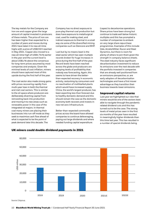The key metals for the Company are iron ore and copper given the large amount of capital invested in producers of these metals. The price of iron ore has been higher than expected for a number of years and moves during 2021 have taken it to new all-time highs with a price of US\$233/t reached in May 2021. Copper also moved to a new all-time high of US\$4.74/lb earlier in the year and the current level is about US\$1/lb above the consensus for long-term prices assumed by most companies and analysts. Given the minimal levels of cost inflation, miners should have captured most of this upside during the first half of the year.

The coal sector also made strong gains with prices recovering rapidly from multi-year lows in both the thermal and met coal sectors. This is similar to the oil space where producers are deliberately diverting capital from reinvesting back into production and moving it to new areas such as renewable power in the case of the integrated oil majors. In thermal coal many miners are placing their businesses into run-off mode as they seek to maximise cash flow ahead of what is expected to be the point of peak demand later this decade. The

Company has no direct exposure to pure play thermal coal production but does have exposure to metallurgical coal, used for making steel, and indirect exposure to thermal in a small way via some of the diversified mining companies such as Glencore and BHP.

Last but by no means least is the steel sector which has seen multiple records broken for huge increases in price during the first half of the year. Record levels have been reached across the globe and producers are enjoying levels of profitability that nobody was forecasting. Again, this seems to have driven the betterthan-expected recovery in economic activity, restocking by consumers and no reactivation of mothballed plants which would have increased supply. China, the world's largest producer, has been exporting less than forecast due to healthy domestic demand and this should remain the case as the domestic economy both recovers and invests in new net zero infrastructure.

Better-than-expected commodity prices across the board have allowed companies to continue deleveraging, paying out large dividends and where needed funding capital expenditure

(capex) to decarbonise operations. Share prices have been strong but continue to trade well below historic multiples and this has prompted a number of companies to embark on very large share repurchase programmes. Examples of this include Vale, ArcelorMittal, Nucor and Steel Dynamics, but there is room for plenty of others to join them given the strength in company balance sheets. The steel industry faces significant decarbonisation investment to reduce its emissions over the next decade with the portfolio invested in companies that are already well positioned from an emissions perspective, or, are early adopters of decarbonisation technologies and have a first mover advantage as they transition their business towards lower emissions.

#### **Improved capital returns**

Last year we highlighted our view that miners would be one of the sectors best able to navigate through the pandemic related dividend cuts and this has turned out to be the case. The strong levels of metal prices seen in the first six months of the year have resulted in meaningfully higher dividends than this time last year. This has resulted in a number of special dividends being



### **UK miners could double dividend payments in 2021**

Source: Citigroup.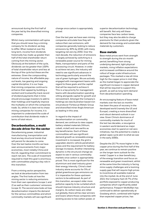announced during the first half of the year led by the diversified mining companies.

Whilst many commentators will opine that you should never buy a mining company for its dividend, we beg to differ. When looked at over the long term, income from dividends historically has made up greater than half of the total shareholder return coming from the mining sector. Obviously at the bottom of the cycle, dividends can be greater than 100% of total shareholder return and less at the top of the cycle but these are the extremes. Given the compounding nature of income, the affordable payout levels, low gearing and ongoing capital discipline, it is our hope that mining companies continue to enhance their appeal by building a resilient and trustworthy track record of dividend payments that in time should encourage investors to add to their holdings and hopefully improve the multiples on which the companies trade. So, whilst it is best not to chase mining companies for income, it is important to understand the scale of contribution that dividends make in terms of total return.

#### **Decarbonisation, a multi decade driver for the sector**

Decarbonising power, industrial manufacturing, transportation and food are key structural trends that will persist for decades to come. Over the last twelve months we have seen announcements from major economies, most notably China and the US, regarding their commitment to reach net zero. The scale of investment required to meet this goal is enormous, with commodities playing a key role in this transition.

From a mining sector perspective, we look at decarbonisation from two angles. The first looks at how the mining sector is reducing emissions from their own operations (scope 1 and 2) as well as their customers' emissions (scope 3). The second area looks at how decarbonisation impacts the demand for the various commodities and which commodity markets will see significant

change once carbon is appropriately priced.

Over the last year we have seen mining companies articulate how they will reduce their own emissions, with companies generally looking to reduce emissions by 30% by 2030, with many targeting net zero by 2050. Over the next decade, the reduction of emissions is largely achieved by switching to a renewable power source for mining fleets, transportation and parts of the processing circuit. However, in order to achieve net zero, the industry will need to see significant advances in technology particularly around the use of green hydrogen. We are actively engaged with management teams with regard to these goals and the capital that will be required to achieve it. This is a top priority for management teams with decarbonisation spending sitting alongside capital for growth and reinvestment. Amongst the Company's holdings we view Australian based iron ore producer Fortescue Metals Group and diversified miner Anglo American as leading in this area.

In regard to the impact of decarbonisation on commodity demand, we continue to view copper, battery related materials (lithium, cobalt, nickel) and rare earths as key beneficiaries. Each of these commodities will see significant demand growth as renewable energy investment is increased, the grid is upgraded, electric vehicle penetration grows and the requirement for battery storage increases. Another interesting dynamic is the structural change we expect to see in various commodity markets once carbon is appropriately priced. This is most significant for the aluminium and steel industry given their energy intensity. China's steel industry alone accounts for 5% of global greenhouse gas emissions so it is imperative for these upstream sectors to be addressed. As part of this transition, we expect older more pollutive capacity to be curtailed which should improve industry structure and margins. As carbon taxes are rolled out globally, there will be clear winners and losers where those companies with existing access to low carbon power, or

superior decarbonisation technology, will benefit. Not only will these companies face less carbon taxes, but they may also be able to charge premiums for their products given the demand for low energy and sustainable materials by customers.

#### **Base metals**

Base metal prices went from strength to strength during the six-month period, benefiting from strong underlying demand, tight physical markets, rising inflation expectations and increased confidence around the rollout of large-scale infrastructure packages. This marked a new all-time high for the copper price in mid-May as the market began to appreciate the significant increase in copper demand that will be required to support this growth, as well as long-term demand from decarbonisation spending.

An encouraging feature of base metal markets over the last six months has been the pace of recovery in the developed world (namely the US and Europe), creating a more diversified and robust demand outlook in our view. Given China's dominance of commodity markets for much of the last two decades, a resurgence in western world demand as major economies start to spend on net zero initiatives, has the potential to create a global capex cycle akin to what we saw in the early 2000s.

Despite the 20.7% move higher in the copper price during the first half of the year, we continue to remain positive on the longer-term outlook for the metal. Copper is a clear beneficiary of the energy transition and focus on renewable and green investment, whilst at the same time the industry is facing mine supply challenges and a looming supply gap that will require high prices to incentivise all available material into the market. As at the end of June 2021 the Company had 19.7% of the portfolio exposed to copper producing companies which significantly aided performance. Freeport-McMoRan has continued to deliver operationally at Grasberg which, combined with higher than expected copper prices, has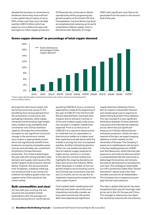allowed the business to recommence dividends where they have outlined a new capital returns policy of up to 50% of free cash flow once net debt reaches US\$3-4 billion which we expect to occur before the year end. Amongst our other copper producers, OZ Minerals has continued to deliver operationally whilst progressing key growth projects at Prominent Hill and Carrapateena. Ivanhoe Mines has done an exceptional job ramping up its world scale Kamoa-Kakula copper mine in the Democratic Republic of Congo

(DRC) with significant cash flow to be generated from the asset in the second half of the year.



#### **Green copper demand\* as percentage of total copper demand**

\* Green copper demand refers to demand from wind, solar, electric vehicles and charging points. Source: Goldman Sachs.

Amongst the other base metals, the aluminium price was up by 27.2% benefiting from strong demand from the automotive, construction and packaging industries, while supply remained constrained by high freight rates, limited scrap availability and constraints over China's domestic capacity. Amongst the commodities, we expect to see significant structural change in the aluminium market once carbon is appropriately priced which will significantly benefit those producers accessing renewable power sources and will likely see curtailment of pollutive Chinese domestic production. The nickel market began the year well with strong stainless steel demand and supply-side issues at the world's largest nickel producer, Norilsk Nickel. However, the announcement from Tsingshan, a leading nickel pig iron producer, that it can convert its material into battery grade nickel, has capped some of the upside for the nickel market.

#### **Bulk commodities and steel**

For the sixth year running, the iron ore price has exceeded market expectations with the average iron ore price during the six-month period equalling US\$182/t versus consensus expectations made at the beginning of the year of US\$137/t for the first half. Record steel demand, improved steel margins due to emission controls in China and modest supply-side issues has resulted in a tighter market than expected. From a current price of US\$218/t it is natural to expect prices to moderate, but our expectation is that the price settles at a higher level than expected and well above what the market is pricing into iron ore exposed equities. Another interesting dynamic of the iron ore market has been the lack of material supply response to higher prices, which is in contrast to the last iron ore bull market and highlights the ongoing discipline we have seen across the industry. While there have been a number of iron ore growth projects announced by juniors and Chinese led consortiums over the last 12 months, we do not see this as materially impacting the market for the next couple of years.

Coal markets (both metallurgical and thermal) have been one of the most interesting commodity markets we have seen over the last 18 months. Both have experienced significant

supply distortion following China's ban on imports of Australian thermal and metallurgical coal in response to deteriorating Australia-China relations. This has resulted in a very significant dislocation between Chinese domestic coal prices and international seaborne prices, which has put significant pressure on Chinese steel producers and power producers. Unless we see a reversal of the ban, we expect ongoing tightness in both markets for the remainder of the year. The Company's exposure to metallurgical coal remains in the two leading producers of BHP and Teck Resources, whilst thermal coal exposure is primarily via Glencore which is using elevated thermal coal prices to deleverage the business and remains focused on decreasing its coal exposure over time. This strategy of responsible run-off in production rather than "forced divestment" seems to be a far more sensible outcome for all stakeholders. The Company has no exposure to pure play thermal coal producers.

The rally in global steel prices has been exceptional with new all-time high steel prices set in the US, Europe and China. The strength in steel prices has taken the market by surprise with the industry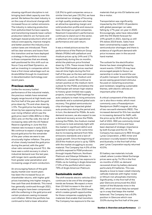showing significant discipline in not bringing back idled capacity over this period. We believe the steel industry is on the cusp of structural change with increased focus on carbon emissions. The industry is reducing production from pollutive blast furnace capacity and transitioning towards lower carbon production (electric arc furnaces and hydrogen-based production) which will reduce overcapacity, improve margins and better position the industry once carbon taxes are introduced. There will be clear winners and losers from this transition and we have deployed a strategy in the portfolio to invest in those companies that are already well-positioned for this shift such as Nucor Corp and Steel Dynamics, as well as investing in companies which have a first mover advantage such as ArcelorMittal through its investment in decarbonisation technology over recent years.

#### **Precious metals**

Unlike the recovery fuelled performance of the industrial metals, the precious metals have remained largely range bound at high levels over the first half of the year with the gold price down by 7% and silver down by 1.5%. The gold price has been largely driven by two opposing forces, concern over rising inflation which saw the gold price reach US\$1,900/oz in May 2021 and, on the flip-side, the risk of increasing rates with the US Federal Reserve signalling in June the first interest rate increase in early 2023. We continue to expect a largely range bound gold price for the remainder of the year unless we were to see structurally higher inflation. The price of silver closely tracked the gold price during the period, with the gold/ silver ratio remaining around 70:1. We have seen a solid recovery in silver's industrial demand over the last year, with longer-term upside potential from greater solar penetration and increasing usage of semi-conductors.

An encouraging feature of the gold equity market over recent years has been the increased focus on shareholder returns, with higher gold prices translating into higher margins, free cash flow and dividends. This trend has generally continued through 2021, albeit margins have been compressed with the softening in the gold price and certain producers seeing increased cost inflation. Whilst the portfolio has continued to hold a lower allocation

(18.3%) to gold companies versus a similar time last year (35.2%), we have maintained our strategy of focusing on high quality producers who have an attractive operating margin and solid production profile and resource base. Amongst our gold companies, Newmont Corporation's performance continues to stand out in the sector, a reflection of its solid operational performance and cash return.

It was a mixed picture across the performance of the Platinum Group Metals (PGMs) with palladium and rhodium prices up by 14% and 17% respectively during the six months, whilst the platinum price finished down by 1.5%. These moves hide the fact that PGM basket prices reached new all-time highs during the first half of the year as the less well-known constituents, such as rhodium and ruthenium, soared. We continue to remain positive on the medium-term outlook for the PGMs and believe the PGM basket will remain high relative to history given limited new supply projects, increasing PGM loadings for auto catalysts to meet rising emissions standards and a sustained global auto recovery. The global semiconductor chip shortage has impacted global auto production during the period and, in turn, the demand for PGMs. As auto demand recovers, we also expect to see a demand recovery across the PGMs. Among the PGMs, the rhodium market continues to look extremely tight with the market in significant deficit and expected to remain so for some time due to increasing demand from NOx emissions standards and a lack of supply growth. Since the beginning of 2019 the rhodium price is up by 700% with the market struggling to access material. The Company has 4.5% of the portfolio exposed to PGM producers through Impala Platinum, Northam Platinum and Sibanye Stillwater. In addition, the Company has exposure to PGMs via its holding in Anglo American (7.0% of the portfolio) which owns 79% of Anglo American Platinum.

#### **Sustainable metals**

The shift towards electric vehicles (EVs) continues to be one of the strongest trends we foresee. We expect a more than 10-fold increase in the size of the market by 2030 from 2020 levels, which creates growth opportunities for those companies supplying the materials that enable that transition. The Company has exposure to the raw

materials that go into EV batteries and the e-motor.

Transportation was significantly impacted by the COVID-19 pandemic with global passenger car sales falling by 17% year-on-year in 2020. Encouragingly, sales have rebounded with the IHS Markit forecast for 14% growth in 2021, leaving us still 5% below 2019 levels. Sales have been constrained by supply chain semiconductor shortages and there is evidence of significant demand with price increases seen in the secondhand market.

The outlook for the electrification theme has been strengthened by recent events. COVID-19 may have encouraged people to favour car ownership in order to avoid the use of public transport. More importantly we are seeing government stimulus focused on restarting economies post lockdown, targeting sustainable themes, with electric vehicles an important pillar of that.

A critical component of the electric car is also the e-motor, which most commonly uses a Praseodymium-Neodymium (NdPr) magnet, an alloy of two rare earth elements (REE). The increased demand for EVs has resulted in increasing demand for NdPr, with the price up by 16.4% during the first half of 2021. REE are commonly mined and processed in China and have been deemed of strategic importance by both Europe and the US. The Company has exposure to REE through Lynas Corporation, a REE miner and processor crucially based in Malaysia and Australia; in the first half of the year Lynas Corporation equity returned 43.5%.

EV battery raw materials include cobalt, where London Metal Exchange prices were up by 74.3% in the first six months of 2021 as demand recovered driven by battery demand, particularly EV batteries. This was despite a move to lower cobalt intensity cathode materials with higher nickel or lithium iron phosphate chemistry. Significantly, in the first half of the year Glencore announced the 2022 restart of the Mutanda mine in the DRC, which will most likely be ramped up in a way that keeps the market balanced. The Company has a 6.0% position in Glencore which rose 33.0% during the first half of the year.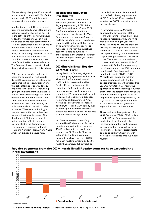Glencore is a globally significant cobalt producer which produced 22% of mine production in 2020 and this is set to increase with Mutanda's ramp-up.

Another battery metal likely to benefit from the increased demand for lithium batteries is nickel which is contained in the cathode of the battery. However, today, the number one use of nickel, which also drives near-term demand, is stainless steel production. Not all nickel production is created equal when it comes to suitability for different enduses, and for battery cathodes the most efficient raw nickel units are nickel sulphide tonnes, whilst for stainless steel ferronickel is very cost effective. The Company has exposure to nickel through its investment in Nickel Mines.

2021 has seen growing excitement about the potential for hydrogen to disrupt the commercial vehicle market. Compared to batteries, hydrogen and fuel cells offer better energy density, improved range and faster refuelling, giving them an inherent advantage in efforts to decarbonise high utilisation transport like industrial trucks. That said, there are substantial hurdles to overcome, with costs needing to fall dramatically for the switch to be economic. We see the technology's long-term potential but believe that we are still in the early stages of its development. Platinum is crucial to the adoption of hydrogen fuel cell and electrolyser technologies. The Company's positions in Impala Platinum, Northam Platinum and Anglo American provide exposure here.

Source: BlackRock.

### **Royalty and unquoted investments**

The Company had one unquoted investment, the OZ Minerals Brazil Royalty, representing 1.5% of the portfolio as at the end of June 2021. The Company has an additional quoted royalty investment, the Vale Debentures, representing 4.3% of the portfolio, with total royalty investments equal to 5.8% of the portfolio. These, and any future investments, will be managed in line with the guidelines set by the Board as outlined to shareholders in the Strategic Report of the Annual Report for the year ended 31 December 2020.

#### **OZ Minerals Brazil Royalty Contract (1.5%)**

In July 2014 the Company signed a binding royalty agreement with Avanco Minerals. The Company invested US\$12 million in return for a Net Smelter Return (net revenue after deductions for freight, smelter and refining charges) royalty payments comprising 2% on copper, 25% on gold and 2% on all other metals produced from mines built on Avanco's Antas North and Pedra Branca licences. In addition, there is a flat 2% royalty over all metals produced from any other discoveries within Avanco's licence area as at the time of the agreement.

In 2018 Avanco was successfully acquired by OZ Minerals, an Australian based copper and gold producer for A\$418 million, with the royalty now assumed by OZ Minerals. Since our initial US\$12 million investment was made, we have received US\$16 million in royalty payments and so the royalty has achieved full payback on

the initial investment. As at the end of June 2021, the royalty was valued at £19.5 million (1.7% of NAV) which equates to a 380% total return since our investment.

In November 2019 OZ Minerals approved the development of the Pedra Branca underground mine and released a feasibility study and mine plan detailing an eight-year life of mine. This mine will provide ore to the existing processing facilities at Antas from mid-2021 and is a low risk and low capex operating model well suited for processing material at small-scale mines. The Antas North mine is set to cease production in the middle of the year, with Pedra Branca currently ramping up production. With operating conditions in Brazil continuing to deteriorate due to COVID-19, OZ Minerals has flagged the risk that current guidance of 10kt-15kt of copper production may be missed this year. We have taken a conservative approach and are modelling production this year at the bottom of the range. We continue to remain optimistic on the longer-term optionality provided by the royalty via the development of Pedra Branca West, as well as greenfield exploration over the licence area.

The valuation of the royalty was lifted at 31 December 2020 to £19.8 million to reflect Pedra Branca moving into production. In addition, with the increasing amount of royalty revenue being generated from gold, we have in part reflected a lower discount rate applied to gold royalties in line with how the market prices precious metals royalties.





14 **BlackRock World Mining Trust plc** l Condensed Half Yearly Financial Report 30 June 2021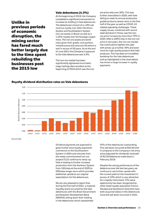**Unlike in previous periods of economic disruption, the mining sector has fared much better largely due to the time spent rebuilding the businesses post the 2015 low**

#### **Vale debentures (4.3%)**

At the beginning of 2019, the Company completed a significant transaction to increase its holding in Vale debentures. The debentures consist of a 1.8% net revenue royalty over Vale's Northern System and Southeastern System iron ore assets in Brazil, as well as a 1.25% royalty over the Sossego copper mine. The iron ore assets are world class given their grade, cost position, infrastructure and resource life which is well in excess of 50 years. As at the end of June 2021 the Company's exposure to the Vale debentures was 4.3%.

The iron ore market has been significantly tightened since Vale's tragic tailings dam accident at the beginning of 2019 which saw the iron ore price rally over 30%. This was further intensified in 2020, with Vale failing to meet its annual production guidance due to severe rains in the first half of the year, as well as COVID-19 related operating challenges. These supply issues, combined with record steel demand in China, saw the iron ore price increase by more than 70% in 2020. After a 100% rally in the iron ore price in two years, the iron ore market has continued to tighten this year with prices up a further 34% and even more for high quality product that Vale produces. This has been an incredible backdrop for the Vale debentures and as highlighted in the chart below has driven a large increase in royalty payments.



#### **Royalty dividend distribution rates on Vale debentures**

Source: Vale.

Dividend payments are expected to grow further once royalty payments commence on the Southeastern System in 2024 and volumes from the newly commissioned iron ore project S11D continue to ramp-up. Vale is looking to further increase production from the Northern System from 192mtpa at the end of 2020 to 260mtpa longer-term which provides additional upside to our original expectations for the debentures.

We are very pleased to report that during the first half of 2021, a material liquidity event occurred for the Vale debentures with the Brazil Government and Brazilian Development Bank (BNDES) selling down their holding in the debentures which represented

55% of the debentures outstanding. This sell down occurred at R53.50 and it compares to the Company's net entry price (adjusted for dividends received) of R15.8/debenture made back in February 2019.

Despite the strong performance of the debenture over the last two years, we continue to see further upside with the current yield on the investment in excess of 10% which is very attractive for a royalty instrument. This value opportunity has been recognised by other listed royalty specialists Franco-Nevada and Sandstorm Gold who have both acquired stakes in the debentures since the sell down occurred in 2021.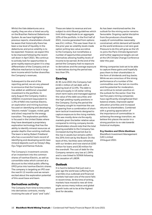Whilst the Vale debentures are a royalty, they are also a listed security on the Brazilian National Debentures System. As we have highlighted in previous reports, shareholders should be aware that historically there has been a low level of liquidity in the debentures and price volatility is to be expected. However, we expect this to be improved following the recent sell down in April 2021. We continue to actively look for opportunities to grow royalty exposure given it is a key differentiator of the Company and an effective mechanism to lock in longterm income which further diversifies the Company's revenues.

Subsequent to the end of the reporting period, we are very pleased to announce that the Company has added an additional unquoted investment to the portfolio. In early August the Company made a US\$20m investment (equivalent to 1.3% of NAV) into Ivanhoe Electric, an exploration and mining business focused on identifying and developing "electric metals" (copper, nickel, gold and silver) required for the energy transition. The exploration portfolio is focused in the United States where they have developed a proprietary exploration technology that has the ability to identify mineral resources at greater depths than existing methods. The team is led by Robert Friedland who has a successful track-record of identifying and developing world class mineral deposits such as Voisey's Bay, Oyu Tolgoi and Kamoa-Kukula.

The Company's investment consists of an investment into the common shares of Ivanhoe Electric, as well as convertible notes which convert at a discount to the initial public offering (IPO) price into Ivanhoe Electric shares. The company is targeting an IPO over the next 6-12 months and we remain excited about the exploration potential of this asset base and team.

#### **Derivatives activity**

The Company from time to time enters into derivatives contracts, mostly involving the sale of "puts" and "calls".

These are taken to revenue and are subject to strict Board guidelines which limit their magnitude to an aggregate 10% of the portfolio. In the first half of 2021, income generated from options was £4.1 million. This was lower than in the prior year as volatility levels made option writing less value accretive to the Company, but nonetheless a number of opportunities presented themselves allowing healthy levels of income to be earned. At the end of the period the Company had no exposure to derivatives and the average exposure to derivatives during the period was less than 5%.

#### **Gearing**

At 30 June 2021 the Company had £140.1 million of net debt, with a gearing level of 12.4%. The debt is held principally in US dollar rolling short-term loans and managed against the value of the debt securities and the high yielding royalty positions in the Company. During the period the Company sought to maximise the use of gearing from a combination of shortterm tactical investments designed to capture exposure to the rising markets. This was mostly done via the equity markets given the better relative value compared to mining company bonds. Shareholders should note that the total gearing available to the Company has increased during the period due to the rise in assets but remains within the 25% limit set by the Board. On the back of this, facilities were refreshed with our lenders and now stand at £200 million for loans and £30 million for the overdraft. The cost of debt for the Company remains very low at 1.04% and is now linked to SONIA following the cessation of LIBOR.

#### **Outlook**

It is hard to believe that just over a year ago the world was suffering from a terrible virus outbreak and financial markets had seen one of the worst falls in recent times. At the time of writing, markets have moved to new all-time highs across many indices and global growth looks set to be at the highest level for decades.

As has been mentioned earlier, the outlook for the mining sector remains favourable. Ongoing capital discipline from the producers should keep supply of commodities reasonably constrained, whilst demand will benefit as the world embraces a net zero goal. Pressure to do this will grow as the US re-joins the Paris Climate Agreement and further aggressive targets are set at the UN Climate Change Conference later this year.

Mining companies look set to be able to capture these gains and hopefully pass them to their shareholders in the form of dividends and buy backs. While we are conscious of the strong performance of a number of the commodities over the last six months and the potential for moderation, we continue to remain positive on the outlook for the sector. Over the last five years mining companies have significantly strengthened their balance sheets, improved capital allocation priorities and increased returns to shareholders. Combined with a growing appreciation of the importance of commodities in achieving the energy transition, we believe this places the sector in a strong position to re-rate towards historical multiples.

#### **Evy Hambro and Olivia Markham**

BlackRock Investment Management (UK) Limited 19 August 2021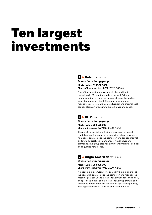# **Ten largest investments**

## **1 Vale<sup>1,2</sup>** (2020: 1st) **Diversified mining group**

**Market value: £150,567,000 Share of investments: 11.8%** (2020: 10.9%)

One of the largest mining groups in the world, with operations in 30 countries. Vale is the world's largest producer of iron ore and iron ore pellets, and the world's largest producer of nickel. The group also produces manganese ore, ferroalloys, metallurgical and thermal coal, copper, platinum group metals, gold, silver and cobalt.

**2 BHP** (2020: 2nd) **Diversified mining group Market value: £89,428,000 Share of investments: 7.0%** (2020: 7.6%)

The world's largest diversified mining group by market capitalisation. The group is an important global player in a number of commodities including iron ore, copper, thermal and metallurgical coal, manganese, nickel, silver and diamonds. The group also has significant interests in oil, gas and liquefied natural gas.

### **3 Anglo American** (2020: 4th) **Diversified mining group**

**Market value: £88,895,000 Share of investments: 7.0%** (2020: 7.2%)

A global mining company. The company's mining portfolio includes bulk commodities including iron ore, manganese, metallurgical coal, base metals including copper and nickel, and precious metals and minerals including platinum and diamonds. Anglo American has mining operations globally, with significant assets in Africa and South America.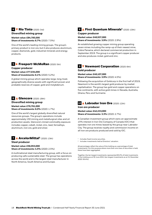# **4 V Rio Tinto** (2020: 3rd)

#### **Diversified mining group**

**Market value: £84,785,000 Share of investments: 6.7%** (2020: 7.5%)

One of the world's leading mining groups. The group's primary product is iron ore, but it also produces aluminium, copper, diamonds, gold, industrial minerals and energy products.

## **5 Freeport-McMoRan** (2020: 5th)

#### **Copper producer**

**Market value: £77,034,000 Share of investments: 6.1%** (2020: 5.2%)

A global mining group which operates large, long-lived, geographically diverse assets with significant proven and probable reserves of copper, gold and molybdenum.

## **6 Glencore** (2020: 18th)

**Diversified mining group Market value: £76,761,000 Share of investments: 6.0%** (2020: 1.7%)

One of the world's largest globally diversified natural resources groups. The group's operations include approximately 150 mining and metallurgical sites and oil production assets. Glencore's mined commodity exposure includes copper, cobalt, nickel, zinc, lead, ferroalloys, aluminium, iron ore, gold and silver.

## **7 ArcelorMittal1** (2020: 13th)

#### **Steel producer**

**Market value: £56,953,000 Share of investments: 4.5%** (2020: 2.5%)

A multinational steel manufacturing group, with a focus on producing safe sustainable steel. The group has operations across the world and is the largest steel manufacturer in North America, South America and Europe.

### **8 A First Quantum Minerals<sup>1</sup> (2020: 10th)**

#### **Copper producer**

**Market value: £49,937,000 Share of investments: 3.9%** (2020: 2.9%)

An established growing copper mining group operating seven mines including the ramp-up of their newest mine, Cobre Panama, which declared commercial production in September 2019. The group is a significant copper producer and also produces nickel, gold and zinc.

### **9 V Newmont Corporation** (2020: 6th)

#### **Gold producer**

**Market value: £49,107,000 Share of investments: 3.9%** (2020: 4.5%)

Following the acquisition of Goldcorp in the first half of 2019, Newmont is the world's largest gold producer by market capitalisation. The group has gold and copper operations on five continents, with active gold mines in Nevada, Australia, Ghana, Peru and Suriname.

### **10 A Labrador Iron Ore** (2020: 12th)

**Iron ore producer**

**Market value: £42,233,000 Share of investments: 3.3%** (2020: 2.7%)

A Canadian investment group which owns an approximate 15% interest in Iron Ore Company of Canada (IOC) that operates iron ore mines leased by the group near Labrador City. The group receives royalty and commission income on all iron ore products produced and sold by IOC.

- <sup>1</sup> Includes fixed income securities.
- <sup>2</sup> Includes investments held at Directors' valuation.

All percentages reflect the value of the holding as a percentage of total investments. For this purpose where more than one class of securities is held, these have been aggregated.

Together, the ten largest investments represented 60.2% of total investments of the holding as at 30 June 2021 (ten largest investments as at 31 December 2020: 56.4%).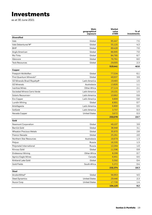# **Investments**

as at 30 June 2021

|                                | Main<br>geographical<br>exposure | Market<br>value<br>£'000 | $%$ of<br>investments |
|--------------------------------|----------------------------------|--------------------------|-----------------------|
| <b>Diversified</b>             |                                  |                          |                       |
| Vale                           | Global                           | 95,447                   | 7.5                   |
| Vale Debentures*#^             | Global                           | 55,120                   | 4.3                   |
| <b>BHP</b>                     | Global                           | 89,428                   | 7.0                   |
| Anglo American                 | Global                           | 88,895                   | 7.0                   |
| <b>Rio Tinto</b>               | Global                           | 84,785                   | 6.7                   |
| Glencore                       | Global                           | 76,761                   | 6.0                   |
| <b>Teck Resources</b>          | Global                           | 29,005                   | 2.3                   |
|                                |                                  | 519,441                  | 40.8                  |
| Copper                         |                                  |                          |                       |
| Freeport-McMoRan               | Global                           | 77,034                   | 6.1                   |
| First Quantum Minerals*        | Global                           | 49,937                   | 3.9                   |
| OZ Minerals Brazil Royalty#~   | Latin America                    | 19,465                   | 1.5                   |
| <b>OZ Minerals</b>             | Australasia                      | 13,826                   | 1.1                   |
| Ivanhoe Mines                  | <b>Other Africa</b>              | 27,114                   | 2.1                   |
| Sociedad Minera Cerro Verde    | Latin America                    | 19,101                   | $1.5\,$               |
| Solaris Resources+             | Latin America                    | 10,662                   | 0.9                   |
| Ero Copper                     | Latin America                    | 9,809                    | 0.8                   |
| Lundin Mining                  | Global                           | 8,901                    | 0.7                   |
| Antofagasta                    | Latin America                    | 6,800                    | 0.5                   |
| SolGold                        | Latin America                    | 3,757                    | 0.3                   |
| Nevada Copper                  | <b>United States</b>             | 3,672                    | 0.3                   |
|                                |                                  | 250,078                  | 19.7                  |
| Gold                           |                                  |                          |                       |
| <b>Newmont Corporation</b>     | Global                           | 49,107                   | 3.9                   |
| <b>Barrick Gold</b>            | Global                           | 38,948                   | 3.1                   |
| <b>Wheaton Precious Metals</b> | Global                           | 35,970                   | 2.8                   |
| Franco-Nevada                  | Global                           | 25,261                   | 2.0                   |
| <b>Northern Star Resources</b> | Australasia                      | 16,679                   | 1.3                   |
| Polyus                         | Russia                           | 16,335                   | 1.3                   |
| Polymetal International        | Russia                           | 12,264                   | 1.0                   |
| Kinross Gold                   | Global                           | 11,596                   | 0.9                   |
| <b>Endeavour Mining</b>        | <b>Other Africa</b>              | 8,299                    | 0.7                   |
| <b>Agnico Eagle Mines</b>      | Canada                           | 6,951                    | 0.5                   |
| Kirkland Lake Gold             | Global                           | 5,592                    | 0.4                   |
| <b>Gold Fields</b>             | South Africa                     | 5,372                    | 0.4                   |
|                                |                                  | 232,374                  | 18.3                  |
| <b>Steel</b>                   |                                  |                          |                       |
| ArcelorMittal*                 | Global                           | 56,953                   | 4.5                   |
| <b>Steel Dynamics</b>          | <b>United States</b>             | 29,446                   | 2.3                   |
| Nucor Corp                     | <b>United States</b>             | 17,726                   | 1.4                   |
|                                |                                  | 104,125                  | 8.2                   |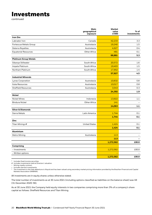# **Investments**

continued

|                              | Main<br>geographical<br>exposure | <b>Market</b><br>value<br>£'000 | $%$ of<br>investments |
|------------------------------|----------------------------------|---------------------------------|-----------------------|
| <b>Iron Ore</b>              |                                  |                                 |                       |
| Labrador Iron                | Canada                           | 42,233                          | 3.3                   |
| Fortescue Metals Group       | Australasia                      | 19,240                          | 1.5                   |
| Deterra Royalties            | Australasia                      | 4,927                           | 0.4                   |
| <b>Equatorial Resources</b>  | <b>Other Africa</b>              | 481                             | 0.1                   |
|                              |                                  | 66,881                          | 5.3                   |
| <b>Platinum Group Metals</b> |                                  |                                 |                       |
| Sibanye Stillwater           | South Africa                     | 20,572                          | 1.6                   |
| Impala Platinum              | South Africa                     | 19,403                          | 1.5                   |
| Northam Platinum             | South Africa                     | 17,952                          | 1.4                   |
|                              |                                  | 57,927                          | 4.5                   |
| <b>Industrial Minerals</b>   |                                  |                                 |                       |
| Lynas Corporation            | Australasia                      | 10,832                          | 0.8                   |
| Iluka Resources              | Australasia                      | 10,017                          | 0.8                   |
| <b>Sheffield Resources</b>   | Australasia                      | 3,543                           | 0.3                   |
|                              |                                  | 24,392                          | 1.9                   |
| <b>Nickel</b>                |                                  |                                 |                       |
| <b>Nickel Mines</b>          | Indonesia                        | 13,922                          | 1.1                   |
| <b>Bindura Nickel</b>        | <b>Other Africa</b>              | 141                             |                       |
|                              |                                  | 14,063                          | $1.1$                 |
| <b>Silver &amp; Diamonds</b> |                                  |                                 |                       |
| <b>Sierra Metals</b>         | Latin America                    | 1,744                           | 0.1                   |
|                              |                                  | 1,744                           | 0.1                   |
| Zinc                         |                                  |                                 |                       |
| Titan Mining+#               | <b>United States</b>             | 1,424                           | 0.1                   |
|                              |                                  | 1,424                           | 0.1                   |
| <b>Aluminium</b>             |                                  |                                 |                       |
| Metro Mining                 | Australasia                      | 113                             |                       |
|                              |                                  | 113                             |                       |
|                              |                                  | 1,272,562                       | 100.0                 |
| <b>Comprising</b>            |                                  |                                 |                       |
| - Investments                |                                  | 1,272,562                       | 100.0                 |
| - Written options            |                                  |                                 |                       |
|                              |                                  | 1,272,562                       | 100.0                 |

\* Includes fixed income securities.

# Includes investments held at Directors' valuation.

~ Mining royalty contract.

+ Includes warrant investments. ^ The investment in the Vale debenture is illiquid and has been valued using secondary market pricing information provided by the Brazilian Financial and Capital Markets Association (ANBIMA).

All investments are in equity shares unless otherwise stated.

The total number of investments as at 30 June 2021 (including options classified as liabilities on the balance sheet) was 49 (31 December 2020: 56).

As at 30 June 2021 the Company held equity interests in two companies comprising more than 3% of a company's share capital as follows: Sheffield Resources and Titan Mining.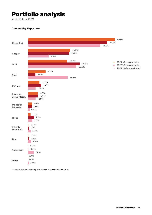# **Portfolio analysis**

as at 30 June 2021

### **Commodity Exposure1**



\* MSCI ACWI Metals & Mining 30% Buffer 10/40 Index (net total return).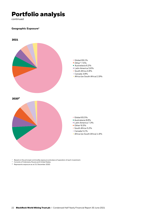# **Portfolio analysis**

continued

#### **Geographic Exposure1**



 $\overline{2}$ 1 Based on the principal commodity exposure and place of operation of each investment.<br>Consists of Indonesia, Russia and United States.

# Represents exposure as at 31 December 2020.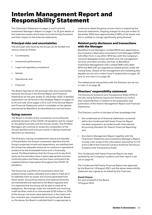# **Interim Management Report and Responsibility Statement**

The Chairman's Statement on pages 5 and 6 and the Investment Manager's Report on pages 7 to 16 give details of the important events which have occurred during the period and their impact on the financial statements.

#### **Principal risks and uncertainties**

The principal risks faced by the Group can be divided into various areas as follows:

- Counterparty;
- Investment performance;
- Legal and regulatory compliance;
- Market:
- Operational; and
- Financial.

The Board reported on the principal risks and uncertainties faced by the Group in the Annual Report and Financial Statements for the year ended 31 December 2020. A detailed explanation can be found in the Strategic Report on pages 41 to 45 and note 18 on pages 110 to 125 of the Annual Report and Financial Statements which is available on the website maintained by BlackRock at www.blackrock.com/uk/brwm.

#### **Going concern**

The Board is mindful of the uncertainty surrounding the potential duration of the COVID-19 pandemic and its impact on the global economy and the Group's assets. The Portfolio Managers will continue to review the composition of the Group's portfolio and to be pro-active in taking investment decisions as necessary.

The Directors, having considered the nature and liquidity of the portfolio, the Group's investment objective and the Group's projected income and expenditure, are satisfied that the Group has adequate resources to continue in operational existence for the foreseeable future and is financially sound. The Board believes that the Group and its key thirdparty service providers have in place appropriate business continuity plans and these services have continued to be supplied without interruption throughout the COVID-19 pandemic.

The Group has a portfolio of investments which are predominantly readily realisable and is able to meet all of its liabilities from its assets and income generated from these assets. Accounting revenue and expense forecasts are maintained and reported to the Board regularly and it is expected that the Group will be able to meet all its obligations. Borrowings under the overdraft and revolving credit facilities shall at no time exceed £230 million or 25% of the Group's net asset value (whichever is the lower) and this covenant was complied with during the period. Based on the above, the Board is satisfied that it is appropriate to

continue to adopt the going concern basis in preparing the financial statements. Ongoing charges for the year ended 31 December 2020 were approximately 0.99% of net assets and this is unlikely to change significantly going forward.

#### **Related party disclosure and transactions with the Manager**

BlackRock Fund Managers Limited (BFM) was appointed as the Company's Alternative Investment Fund Manager (AIFM) with effect from 2 July 2014. BFM has (with the Company's consent) delegated certain portfolio and risk management services, and other ancillary services, to BlackRock Investment Management (UK) Limited (BIM (UK)). Both BFM and BIM (UK) are regarded as related parties under the Listing Rules. Details of the management and marketing fees payable are set out in notes 4 and 5 respectively on pages 30 and 31 and note 12 on page 38.

The related party transactions with the Directors are set out in note 13 on page 38.

#### **Directors' responsibility statement**

The Disclosure Guidance and Transparency Rules (DTR) of the UK Listing Authority require the Directors to confirm their responsibilities in relation to the preparation and publication of the Interim Management Report and Financial Statements.

The Directors confirm to the best of their knowledge that:

- the condensed set of financial statements contained within the Condensed Half Yearly Financial Report has been prepared in accordance with International Accounting Standard 34 'Interim Financial Reporting'; and
- the Interim Management Report, together with the Chairman's Statement and Investment Manager's Report, include a fair review of the information required by 4.2.7R and 4.2.8R of the Financial Conduct Authority Disclosure Guidance and Transparency Rules.

This Condensed Half Yearly Financial Report has been reviewed by the Company's auditors and their report is set out on page 40.

The Condensed Half Yearly Financial Report was approved by the Board on 19 August 2021 and the above responsibility statement was signed on its behalf by the Chairman.

#### **David Cheyne**

For and on behalf of the Board 19 August 2021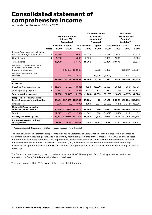# **Consolidated statement of comprehensive income**

for the six months ended 30 June 2021

|                                                                                           |   |                   | <b>Six months ended</b><br>30 June 2021<br>(unaudited) |          |                          | <b>Six months ended</b><br>30 June 2020<br>(unaudited)<br>$(rested)^1$ |          |                          | Year ended<br>31 December 2020<br>(audited)<br>$(rested)^1$ |              |
|-------------------------------------------------------------------------------------------|---|-------------------|--------------------------------------------------------|----------|--------------------------|------------------------------------------------------------------------|----------|--------------------------|-------------------------------------------------------------|--------------|
|                                                                                           |   | <b>Revenue</b>    | Capital                                                |          | <b>Total Revenue</b>     | Capital                                                                |          | <b>Total Revenue</b>     | Capital                                                     | <b>Total</b> |
| <b>Notes</b>                                                                              |   | £'000             | £'000                                                  | £'000    | £'000                    | £'000                                                                  | £'000    | £'000                    | £'000                                                       | £'000        |
| Income from investments held at<br>fair value through profit or loss                      | 3 | 33,690            | $\qquad \qquad -$                                      | 33,690   | 15,029                   | $\qquad \qquad -$                                                      | 15,029   | 31,613                   | $\qquad \qquad -$                                           | 31,613       |
| Other income                                                                              | 3 | 4.080             |                                                        | 4,080    | 3,335                    |                                                                        | 3,335    | 7,964                    | $\overline{\phantom{0}}$                                    | 7,964        |
| <b>Total income</b>                                                                       |   | 37,770            |                                                        | 37,770   | 18,364                   |                                                                        | 18,364   | 39,577                   | -                                                           | 39,577       |
| Net profit on investments and<br>derivatives held at fair value<br>through profit or loss |   | $\qquad \qquad -$ | 130,660 130,660                                        |          |                          | 8,902                                                                  | 8,902    | $\overline{\phantom{0}}$ | 183,667                                                     | 183,667      |
| Net profit/(loss) on foreign<br>exchange                                                  |   | -                 | 458                                                    | 458      | $\overline{\phantom{0}}$ | (6,896)                                                                | (6,896)  | $\overline{\phantom{0}}$ | 2,431                                                       | 2,431        |
| <b>Total</b>                                                                              |   |                   | 37,770 131,118 168,888                                 |          | 18,364                   | 2,006                                                                  | 20,370   | 39,577                   | 186,098                                                     | 225,675      |
| <b>Expenses</b>                                                                           |   |                   |                                                        |          |                          |                                                                        |          |                          |                                                             |              |
| Investment management fee                                                                 | 4 | (1, 143)          | (3,538)                                                | (4,681)  | (623)                    | (1,980)                                                                | (2,603)  | (1,546)                  | (4,859)                                                     | (6,405)      |
| Other operating expenses                                                                  | 5 | (493)             | (5)                                                    | (498)    | (577)                    | (13)                                                                   | (590)    | (1,103)                  | (18)                                                        | (1, 121)     |
| <b>Total operating expenses</b>                                                           |   | (1,636)           | (3.543)                                                | (5, 179) | (1,200)                  | (1,993)                                                                | (3, 193) | (2,649)                  | (4, 877)                                                    | (7,526)      |
| Net profit on ordinary activities<br>before finance costs and taxation                    |   |                   | 36,134 127,575 163,709                                 |          | 17,164                   | 13                                                                     | 17,177   |                          | 36,928 181,221 218,149                                      |              |
| Finance costs                                                                             | 6 | (174)             | (519)                                                  | (693)    | (280)                    | (827)                                                                  | (1,107)  | (424)                    | (1,272)                                                     | (1,696)      |
| Net profit/(loss) on ordinary<br>activities before taxation                               |   |                   | 35.960 127.056 163.016                                 |          | 16.884                   | (814)                                                                  | 16,070   |                          | 36,504 179,949 216,453                                      |              |
| Taxation                                                                                  |   | (2,717)           | 965                                                    | (1,752)  | (1,542)                  | 510                                                                    | (1,032)  | (1,053)                  | 1,115                                                       | 62           |
| Profit/(loss) for the period                                                              | 8 |                   | 33,243 128,021 161,264                                 |          | 15,342                   | (304)                                                                  | 15,038   |                          | 35,451 181,064 216,515                                      |              |
| Earnings/(loss) per ordinary<br>share (pence)                                             | 8 | 18.64             | 71.79                                                  | 90.43    | 8.82                     | (0.17)                                                                 | 8.65     | 20.40                    | 104.22                                                      | 124.62       |

<sup>1</sup> Please refer to note 2 "Restatement of 2020 comparatives" on page 28 for further details.

The total column of this statement represents the Group's Statement of Comprehensive Income, prepared in accordance with International Accounting Standards in conformity with the requirements of the Companies Act 2006 and UK adopted International Accounting Standards. The supplementary revenue and capital columns are both prepared under guidance published by the Association of Investment Companies (AIC). All items in the above statement derive from continuing operations. No operations were acquired or discontinued during the period. All income is attributable to the equity holders of the Group.

The Group does not have any other comprehensive income/(loss). The net profit/(loss) for the period disclosed above represents the Group's total comprehensive income/(loss).

The notes on pages 28 to 39 form part of these financial statements.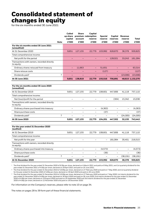# **Consolidated statement of changes in equity**

for the six months ended 30 June 2021

|                                                           |                | <b>Called</b><br>capital | <b>Share</b><br>account  | Capital<br>up share premium redemption<br>reserve | <b>Special</b><br>reserve | Capital<br>reserves      | Revenue<br>reserve       | Total            |
|-----------------------------------------------------------|----------------|--------------------------|--------------------------|---------------------------------------------------|---------------------------|--------------------------|--------------------------|------------------|
|                                                           | <b>Note</b>    | £'000                    | £'000                    | £'000                                             | £'000                     | £'000                    | £'000                    | £'000            |
| For the six months ended 30 June 2021<br>(unaudited)      |                |                          |                          |                                                   |                           |                          |                          |                  |
| At 31 December 2020                                       |                | 9,651                    | 127,155                  | 22,779                                            | 103,992                   | 628,870                  | 38,378                   | 930,825          |
| Total comprehensive income:                               |                |                          |                          |                                                   |                           |                          |                          |                  |
| Net profit for the period                                 |                | ÷                        |                          | $\overline{\phantom{0}}$                          | $\overline{\phantom{a}}$  | 128,021                  | 33,243                   | 161,264          |
| Transactions with owners, recorded directly<br>to equity: |                |                          |                          |                                                   |                           |                          |                          |                  |
| Ordinary shares reissued from treasury                    |                | $\equiv$                 | 11,663                   | $\overline{\phantom{m}}$                          | 51,651                    | -                        | ÷                        | 63,314           |
| Share reissue costs                                       |                | ÷,                       |                          | $\equiv$                                          | (127)                     |                          |                          | (127)            |
| Dividends paid <sup>1</sup>                               | 7              |                          |                          |                                                   |                           |                          | (23,006)                 | (23,006)         |
| At 30 June 2021                                           |                | 9,651                    | 138,818                  | 22,779                                            | 155,516                   | 756,891                  |                          | 48,615 1,132,270 |
|                                                           |                |                          |                          |                                                   |                           |                          |                          |                  |
| For the six months ended 30 June 2020<br>(unaudited)      |                |                          |                          |                                                   |                           |                          |                          |                  |
| At 31 December 2019                                       |                | 9,651                    | 127,155                  | 22,779                                            | 108,601                   | 447,806                  | 41,118                   | 757,110          |
| Total comprehensive income:                               |                |                          |                          |                                                   |                           |                          |                          |                  |
| Net (loss)/profit for the period                          |                | $\equiv$                 | $\equiv$                 | $\overline{\phantom{0}}$                          | $\equiv$                  | (304)                    | 15,342                   | 15,038           |
| Transactions with owners, recorded directly<br>to equity: |                |                          |                          |                                                   |                           |                          |                          |                  |
| Ordinary shares purchased into treasury                   |                | $\overline{\phantom{0}}$ | $\qquad \qquad -$        | $\overline{\phantom{m}}$                          | (4, 363)                  | $\overline{\phantom{0}}$ | $\equiv$                 | (4, 363)         |
| Share purchase costs                                      |                |                          |                          | $\equiv$                                          | (37)                      | -                        | $\equiv$                 | (37)             |
| Dividends paid <sup>2</sup>                               | $\overline{7}$ |                          |                          | $\overline{\phantom{0}}$                          |                           | $\qquad \qquad -$        | (24, 305)                | (24, 305)        |
| At 30 June 2020                                           |                | 9,651                    | 127,155                  | 22,779                                            | 104,201                   | 447,502                  | 32,155                   | 743,443          |
|                                                           |                |                          |                          |                                                   |                           |                          |                          |                  |
| For the year ended 31 December 2020<br>(audited)          |                |                          |                          |                                                   |                           |                          |                          |                  |
| At 31 December 2019                                       |                | 9,651                    | 127,155                  | 22,779                                            | 108,601                   | 447,806                  | 41,118                   | 757,110          |
| Total comprehensive income:                               |                |                          |                          |                                                   |                           |                          |                          |                  |
| Net profit for the year                                   |                | $\equiv$                 | $\overline{\phantom{a}}$ | $\overline{a}$                                    |                           | 181,064                  | 35,451                   | 216,515          |
| Transactions with owners, recorded directly<br>to equity: |                |                          |                          |                                                   |                           |                          |                          |                  |
| Ordinary shares purchased into treasury                   |                | $\qquad \qquad -$        | $\qquad \qquad -$        | $\overline{\phantom{a}}$                          | (4, 573)                  | $\overline{\phantom{a}}$ | $\overline{\phantom{m}}$ | (4, 573)         |
| Share purchase costs                                      |                | $\equiv$                 | $\overline{\phantom{0}}$ | $\qquad \qquad -$                                 | (36)                      | $\overline{\phantom{a}}$ | $\overline{\phantom{0}}$ | (36)             |
| Dividends paid <sup>3</sup>                               | $\overline{7}$ | $\overline{\phantom{0}}$ | $\overline{\phantom{0}}$ | $\overline{\phantom{0}}$                          | $\equiv$                  | $\qquad \qquad -$        | (38, 191)                | (38, 191)        |
| At 31 December 2020                                       |                | 9,651                    | 127,155                  | 22,779                                            | 103,992                   | 628,870                  | 38,378                   | 930,825          |

 $1$  The final dividend for the year ended 31 December 2020 of 8.30p per share, declared on 4 March 2021 and paid on 6 May 2021, and 1st quarterly dividend for the year ended 31 December 2021 of 4.50p per share, declared on 29 April 2021 and paid on 25 June 2021.

<sup>2</sup> The final dividend for the year ended 31 December 2019 of 10.00p per share, declared on 27 February 2020 and paid on 7 May 2020, and 1st quarterly dividend for the year ended 31 December 2020 of 4.00p per share, declared on 30 April 2020 and paid on 26 June 2020.

<sup>3</sup> The final dividend for the year ended 31 December 2019 of 10.00p per share, declared on 27 February 2020 and paid on 7 May 2020; 1st interim dividend for the year ended 31 December 2020 of 4.00p per share, declared on 30 April 2020 and paid on 26 June 2020; 2nd interim dividend for the year ended 31 December 2020 of 4.00p per share, declared on 19 August 2020 and paid on 25 September 2020 and 3rd interim dividend for the year ended 31 December 2020 of 4.00p per share, declared on 12 November 2020 and paid on 18 December 2020.

For information on the Company's reserves, please refer to note 10 on page 34.

The notes on pages 28 to 39 form part of these financial statements.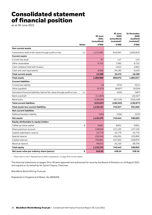# **Consolidated statement of financial position**

as at 30 June 2021

|                                                                                  | 30 June<br>2021<br>(unaudited) | 30 June<br>2020<br>(unaudited)<br>$(rested)^1$ | 31 December<br>2020<br>(audited)<br>$(restated)^1$ |
|----------------------------------------------------------------------------------|--------------------------------|------------------------------------------------|----------------------------------------------------|
| <b>Notes</b>                                                                     | £'000                          | £'000                                          | £'000                                              |
| <b>Non current assets</b>                                                        |                                |                                                |                                                    |
| Investments held at fair value through profit or loss<br>11                      | 1,272,562                      | 816,597                                        | 1,045,818                                          |
| <b>Current assets</b>                                                            |                                |                                                |                                                    |
| Current tax asset                                                                | 87                             | 117                                            | 114                                                |
| Other receivables                                                                | 6,755                          | 7,562                                          | 6.723                                              |
| Cash collateral held with brokers                                                |                                | 1,614                                          | 2,943                                              |
| Cash and cash equivalents                                                        | 6,556                          | 24,182                                         | 6,419                                              |
| <b>Total current assets</b>                                                      | 13,398                         | 33,475                                         | 16,199                                             |
| <b>Total assets</b>                                                              | 1,285,960                      | 850,072                                        | 1,062,017                                          |
| <b>Current liabilities</b>                                                       |                                |                                                |                                                    |
| Current tax liability                                                            | (5)                            | (374)                                          | (511)                                              |
| Other payables                                                                   | (5, 373)                       | (8,607)                                        | (5,034)                                            |
| Derivative financial liabilities held at fair value through profit or loss<br>11 |                                | (425)                                          | (587)                                              |
| Bank overdraft                                                                   | (11,605)                       | $\equiv$                                       | (22, 427)                                          |
| <b>Bank loans</b>                                                                | (136, 544)                     | (97, 119)                                      | (102, 418)                                         |
| <b>Total current liabilities</b>                                                 | (153, 527)                     | (106, 525)                                     | (130, 977)                                         |
| <b>Total assets less current liabilities</b>                                     | 1,132,433                      | 743,547                                        | 931,040                                            |
| <b>Non current liabilities</b>                                                   |                                |                                                |                                                    |
| Deferred taxation liability                                                      | (163)                          | (104)                                          | (215)                                              |
| <b>Net assets</b>                                                                | 1,132,270                      | 743,443                                        | 930,825                                            |
| <b>Equity attributable to equity holders</b>                                     |                                |                                                |                                                    |
| 9<br>Called up share capital                                                     | 9,651                          | 9,651                                          | 9,651                                              |
| Share premium account                                                            | 138,818                        | 127,155                                        | 127,155                                            |
| Capital redemption reserve                                                       | 22,779                         | 22,779                                         | 22,779                                             |
| Special reserve                                                                  | 155,516                        | 104,201                                        | 103,992                                            |
| Capital reserves                                                                 | 756,891                        | 447,502                                        | 628,870                                            |
| Revenue reserve                                                                  | 48,615                         | 32,155                                         | 38,378                                             |
| <b>Total equity</b>                                                              | 1,132,270                      | 743,443                                        | 930,825                                            |
| 8<br>Net asset value per ordinary share (pence)                                  | 616.20                         | 428.24                                         | 536.34                                             |

<sup>1</sup> Please refer to note 2 "Restatement of 2020 comparatives" on page 28 for further details.

The financial statements on pages 24 to 39 were approved and authorised for issue by the Board of Directors on 19 August 2021 and signed on its behalf by Mr David Cheyne, Chairman.

BlackRock World Mining Trust plc

Registered in England and Wales, No.2868209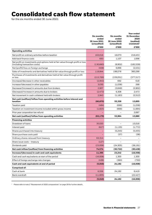# **Consolidated cash flow statement**

for the six months ended 30 June 2021

|                                                                                                                  | Six months<br>ended<br>30 June 2021<br>(unaudited) | Six months<br>ended<br>30 June 2020<br>(unaudited) | <b>Year ended</b><br>31 December<br>2020<br>(audited)<br>$(rested)^1$ |
|------------------------------------------------------------------------------------------------------------------|----------------------------------------------------|----------------------------------------------------|-----------------------------------------------------------------------|
|                                                                                                                  | £'000                                              | £'000                                              | £'000                                                                 |
| <b>Operating activities</b>                                                                                      |                                                    |                                                    |                                                                       |
| Net profit on ordinary activities before taxation                                                                | 163,016                                            | 16,070                                             | 216,453                                                               |
| Add back finance costs                                                                                           | 693                                                | 1,107                                              | 1,696                                                                 |
| Net profit on investments and options held at fair value through profit or loss<br>(including transaction costs) | (130,660)                                          | (8,902)                                            | (182.539)                                                             |
| Net (profit)/loss on foreign exchange                                                                            | (458)                                              | 6,896                                              | (2,431)                                                               |
| Sales of investments and derivatives held at fair value through profit or loss                                   | 118,844                                            | 198,078                                            | 360,288                                                               |
| Purchases of investments and derivatives held at fair value through profit<br>or loss                            | (215, 769)                                         | (159,051)                                          | (377, 517)                                                            |
| (Increase)/decrease in other receivables                                                                         | (2,943)                                            | 692                                                | 618                                                                   |
| Increase/(decrease) in other payables                                                                            | 3,030                                              | (1,038)                                            | 268                                                                   |
| Decrease/(increase) in amounts due from brokers                                                                  | 2,907                                              | (3,649)                                            | (2,902)                                                               |
| (Decrease)/increase in amounts due to brokers                                                                    | (2,473)                                            | 6,308                                              | 2,473                                                                 |
| Net movement in cash collateral held with brokers                                                                | 2,943                                              | (1, 183)                                           | (2,512)                                                               |
| Net cash (outflow)/inflow from operating activities before interest and<br>taxation                              | (60, 870)                                          | 55,328                                             | 13,895                                                                |
| <b>Taxation paid</b>                                                                                             | (484)                                              | (696)                                              | (1,038)                                                               |
| Taxation on investment income included within gross income                                                       | (1,825)                                            | (668)                                              | (1,664)                                                               |
| Prior year corporation tax refund                                                                                |                                                    |                                                    | 2,687                                                                 |
| Net cash (outflow)/inflow from operating activities                                                              | (63, 179)                                          | 53,964                                             | 13,880                                                                |
| <b>Financing activities</b>                                                                                      |                                                    |                                                    |                                                                       |
| Drawdown of loans                                                                                                | 35,020                                             |                                                    | 15,016                                                                |
| Interest paid                                                                                                    | (627)                                              | (1, 135)                                           | (1, 772)                                                              |
| Shares purchased into treasury                                                                                   |                                                    | (5,245)                                            | (5,455)                                                               |
| Share purchase costs paid                                                                                        |                                                    | (37)                                               | (36)                                                                  |
| Ordinary shares reissued from treasury                                                                           | 63,314                                             |                                                    |                                                                       |
| Share issue costs - treasury                                                                                     | (127)                                              |                                                    |                                                                       |
| Dividends paid                                                                                                   | (23,006)                                           | (24, 305)                                          | (38, 191)                                                             |
| Net cash inflow/(outflow) from financing activities                                                              | 74,574                                             | (30, 722)                                          | (30, 438)                                                             |
| Increase/(decrease) in cash and cash equivalents                                                                 | 11,395                                             | 23,242                                             | (16, 558)                                                             |
| Cash and cash equivalents at start of the period                                                                 | (16,008)                                           | 1,300                                              | 1,300                                                                 |
| Effect of foreign exchange rate changes                                                                          | (436)                                              | (360)                                              | (750)                                                                 |
| Cash and cash equivalents at end of period                                                                       | (5,049)                                            | 24,182                                             | (16,008)                                                              |
| <b>Comprised of:</b>                                                                                             |                                                    |                                                    |                                                                       |
| Cash at bank                                                                                                     | 6,556                                              | 24,182                                             | 6,419                                                                 |
| Bank overdraft                                                                                                   | (11,605)                                           |                                                    | (22, 427)                                                             |
|                                                                                                                  | (5,049)                                            | 24,182                                             | (16,008)                                                              |

<sup>1</sup> Please refer to note 2 "Restatement of 2020 comparatives" on page 28 for further details.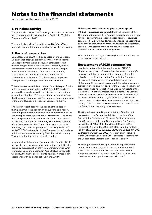# **Notes to the financial statements**

for the six months ended 30 June 2021

### **1. Principal activity**

The principal activity of the Company is that of an investment trust company within the meaning of Section 1158 of the Corporation Tax Act 2010.

The principal activity of the subsidiary, BlackRock World Mining Investment Company Limited, is investment dealing.

### **2. Basis of preparation**

On 31 December 2020, IFRS as adopted by the European Union at that date was brought into UK law and became UK-adopted international accounting standards, with future changes being subject to endorsement by the UK Endorsement Board. BlackRock World Mining Trust plc transitioned to UK-adopted international accounting standards in its condensed consolidated financial statements on 1 January 2021. There was no impact or changes in accounting policies from the transition.

This condensed consolidated interim financial report for the half-year reporting period ended 30 June 2021 has been prepared in accordance with the UK-adopted International Accounting Standard 34, 'Interim Financial Reporting' and the Disclosure Guidance and Transparency Rules sourcebook of the United Kingdom's Financial Conduct Authority.

The interim report does not include all of the notes of the type normally included in an annual financial report. Accordingly, this report is to be read in conjunction with the annual report for the year ended 31 December 2020, which has been prepared in accordance with both "international accounting standards in conformity with the requirements of the Companies Act 2006" and "international financial reporting standards adopted pursuant to Regulation (EC) No 1606/2002 as it applies in the European Union", and any public announcements made by BlackRock World Mining Trust plc during the interim reporting period.

Insofar as the Statement of Recommended Practice (SORP) for investment trust companies and venture capital trusts, issued by the Association of Investment Companies (AIC) in October 2019 and updated in April 2021, is compatible with IFRS, the financial statements have been prepared in accordance with guidance set out in the SORP.

#### **IFRS standards that have yet to be adopted:**

**IFRS 17 - Insurance contracts** (effective 1 January 2023). This standard replaces IFRS 4, which currently permits a wide range of accounting practices in accounting for insurance contracts. IFRS 17 will fundamentally change the accounting by all entities that issue insurance contracts and investment contracts with discretionary participation features. The standard has not been endorsed by the EU .

This standard is unlikely to have any impact on the Group as it has no insurance contracts.

### **Restatement of 2020 comparatives**

In order to better reflect the requirements of IAS 32: Financial Instruments: Presentation, the parent company's bank overdraft has been presented separately from the subsidiary's cash balance in the Consolidated Statement of Financial Position and the Consolidated Cash Flow Statement with comparatives restated. These balances were previously shown on a net basis for the Group. This change in presentation has no impact on the Group's net assets or the Group's Statement of Comprehensive Income. The Group's cash and cash equivalents balance as at 31 December 2020 has been restated from £309,000 to £6,419,000 and the Group overdraft balance has been restated from £16,317,000 to £22,427,000. There is no restatement at 30 June 2020 as the Group did not have any bank overdraft.

The Group has restated the presentation of the Current tax asset and the Current tax liability on the face of the Consolidated Statement of Financial Position separately from Other receivables and Other payables. The Current tax asset of £87,000 at 30 June 2021 (30 June 2020: £117,000; 31 December 2020: £114,000) and Current tax liability of £5,000 at 30 June 2021 (30 June 2020: £374,000; 31 December 2020: £511,000) were previously included within Other receivables and Other payables respectively in the Consolidated Statement of Financial Position.

The Group has restated the presentation of provision for doubtful debts of £106,000 for the six months ended 30 June 2020 and year ended 31 December 2020 which was presented within income in note 3 and has now been classified as other operating expense in note 5.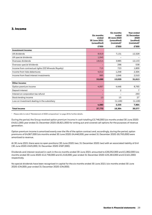#### **3. Income**

|                                                      | <b>Six months</b><br>ended<br>30 June 2021<br>(unaudited) | <b>Six months</b><br>ended<br>30 June 2020<br>(unaudited)<br>$(restated)^1$ | Year ended<br>31 December<br>2020<br>(audited)<br>$(restated)^1$ |
|------------------------------------------------------|-----------------------------------------------------------|-----------------------------------------------------------------------------|------------------------------------------------------------------|
|                                                      | £'000                                                     | £'000                                                                       | £'000                                                            |
| <b>Investment income:</b>                            |                                                           |                                                                             |                                                                  |
| UK dividends                                         | 8,919                                                     | 7,131                                                                       | 12,328                                                           |
| UK special dividends                                 | 1.045                                                     | $\overline{\phantom{0}}$                                                    |                                                                  |
| Overseas dividends                                   | 18,014                                                    | 3,985                                                                       | 12,133                                                           |
| Overseas special dividends                           |                                                           | 296                                                                         | 538                                                              |
| Income from contractual rights (OZ Minerals Royalty) | 715                                                       | 723                                                                         | 1,800                                                            |
| Income from Vale debentures                          | 4,012                                                     | 1,248                                                                       | 2,304                                                            |
| Income from fixed interest investments               | 985                                                       | 1,646                                                                       | 2,510                                                            |
|                                                      | 33,690                                                    | 15,029                                                                      | 31,613                                                           |
| Other income:                                        |                                                           |                                                                             |                                                                  |
| Option premium income                                | 4.067                                                     | 4.446                                                                       | 8,765                                                            |
| Deposit interest                                     |                                                           | 2                                                                           | $\overline{7}$                                                   |
| Interest on corporation tax refund                   |                                                           |                                                                             | 293                                                              |
| Stock lending income                                 | 13                                                        | 15                                                                          | 27                                                               |
| Loss on investment dealing in the subsidiary         |                                                           | (1, 128)                                                                    | (1, 128)                                                         |
|                                                      | 4,080                                                     | 3,335                                                                       | 7,964                                                            |
| <b>Total income</b>                                  | 37,770                                                    | 18,364                                                                      | 39,577                                                           |

<sup>1</sup> Please refer to note 2 "Restatement of 2020 comparatives" on page 28 for further details.

During the period, the Group received option premium income in cash totalling £3,746,000 (six months ended 30 June 2020: £4,611,000; year ended 31 December 2020: £8,821,000) for writing put and covered call options for the purposes of revenue generation.

Option premium income is amortised evenly over the life of the option contract and, accordingly, during the period, option premiums of £4,067,000 (six months ended 30 June 2020: £4,446,000; year ended 31 December 2020: £8,765,000) were amortised to revenue.

At 30 June 2021 there were no open positions (30 June 2020: two; 31 December 2020: two) with an associated liability of £nil (30 June 2020: £425,000; 31 December 2020: £587,000).

Dividends and interest received in cash in the six months ended 30 June 2021 amounted to £26,052,000 and £1,862,000 (six months ended 30 June 2020: £12,758,000 and £1,516,000; year ended 31 December 2020: £25,363,000 and £3,421,000) respectively.

No special dividends have been recognised in capital for the six months ended 30 June 2021 (six months ended 30 June 2020: £34,000; year ended 31 December 2020: £34,000).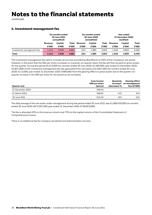# **Notes to the financial statements**

continued

### **4. Investment management fee**

|                           | Six months ended<br>30 June 2021<br>(unaudited) |         |       |         | Six months ended<br><b>30 June 2020</b><br>(unaudited) |       | Year ended<br><b>31 December 2020</b><br>(audited) |         |              |
|---------------------------|-------------------------------------------------|---------|-------|---------|--------------------------------------------------------|-------|----------------------------------------------------|---------|--------------|
|                           | Revenue                                         | Capital | Total | Revenue | Capital                                                | Total | Revenue                                            | Capital | <b>Total</b> |
|                           | £'000                                           | £'000   | £'000 | £'000   | £'000                                                  | £'000 | £'000                                              | £'000   | £'000        |
| Investment management fee | 1.143                                           | 3.538   | 4.681 | 623     | 1.980                                                  | 2.603 | 1.546                                              | 4.859   | 6.405        |
| Total                     | 1,143                                           | 3,538   | 4.681 | 623     | 1.980                                                  | 2.603 | 1.546                                              | 4.859   | 6,405        |

The investment management fee (which includes all services provided by BlackRock) is 0.8% of the Company's net assets. However, in the event that the NAV per share increases on a quarter-on-quarter basis, the fee will then be paid on gross assets for the quarter. During the period £4,214,000 (six months ended 30 June 2020: £2,490,000; year ended 31 December 2020: £5,907,000) of the investment management fee was generated from net assets and £467,000 (six months ended 30 June 2020: £113,000; year ended 31 December 2020: £498,000) from the gearing effect on gross assets due to the quarter-onquarter increase in the NAV per share for the period as set out below:

| Quarter end      | <b>Cum income</b><br>NAV per share<br>(pence) | Quarterly<br>increase/<br>(decrease) % | <b>Gearing effect</b><br>on management<br>fees (£'000) |
|------------------|-----------------------------------------------|----------------------------------------|--------------------------------------------------------|
| 31 December 2020 | 536.34                                        |                                        |                                                        |
| 31 March 2021    | 566.62                                        | $+5.6$                                 | 243                                                    |
| 30 June 2021     | 616.20                                        | $+8.8$                                 | 224                                                    |

The daily average of the net assets under management during the period ended 30 June 2021 was £1,069,435,000 (six months ended 30 June 2020: £672,597,000; year ended 31 December 2020: £748,853,000).

The fee is allocated 25% to the revenue column and 75% to the capital column of the Consolidated Statement of Comprehensive Income.

There is no additional fee for company secretarial and administration services.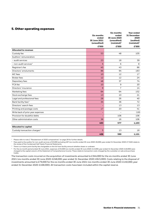#### **5. Other operating expenses**

|                                          | <b>Six months</b><br>ended<br>30 June 2021<br>(unaudited) | <b>Six months</b><br>ended<br>30 June 2020<br>(unaudited)<br>$(restated)^1$ | <b>Year ended</b><br>31 December<br>2020<br>(audited)<br>$(restated)^1$ |
|------------------------------------------|-----------------------------------------------------------|-----------------------------------------------------------------------------|-------------------------------------------------------------------------|
|                                          | £'000                                                     | £'000                                                                       | £'000                                                                   |
| <b>Allocated to revenue:</b>             |                                                           |                                                                             |                                                                         |
| Custody fee                              | 53                                                        | 48                                                                          | 105                                                                     |
| Auditors' remuneration:                  |                                                           |                                                                             |                                                                         |
| - audit services                         | 23                                                        | 18                                                                          | 39                                                                      |
| $-$ non-audit services <sup>2</sup>      | 5                                                         | 6                                                                           | 8                                                                       |
| Registrar's fee                          | 45                                                        | 43                                                                          | 86                                                                      |
| Directors' emoluments                    | 86                                                        | 94                                                                          | 183                                                                     |
| AIC fees                                 | 10                                                        | 12                                                                          | 17                                                                      |
| <b>Broker fees</b>                       | 12                                                        | 12                                                                          | 24                                                                      |
| Depositary fees                          | 48                                                        | 37                                                                          | 74                                                                      |
| FCA fee                                  | 10                                                        | 9                                                                           | 20                                                                      |
| Directors' insurance                     | 9                                                         | $\overline{7}$                                                              | 14                                                                      |
| Marketing fees                           | 64                                                        | 64                                                                          | 152                                                                     |
| Stock exchange fees                      | 13                                                        | 10                                                                          | 21                                                                      |
| Legal and professional fees              | 28                                                        | 26                                                                          | 40                                                                      |
| Bank facility fees <sup>3</sup>          | 34                                                        | 36                                                                          | 72                                                                      |
| Directors' search fees                   |                                                           | 13                                                                          | 13                                                                      |
| Printing and postage costs               | 17                                                        | 20                                                                          | 41                                                                      |
| Write back of prior year expenses        | $\qquad \qquad -$                                         |                                                                             | (18)                                                                    |
| Provision for doubtful debts             |                                                           | 106                                                                         | 106                                                                     |
| Other administration costs               | 36                                                        | 16                                                                          | 106                                                                     |
|                                          | 493                                                       | 577                                                                         | 1,103                                                                   |
| <b>Allocated to capital:</b>             |                                                           |                                                                             |                                                                         |
| Custody transaction charges <sup>4</sup> | 5                                                         | 13                                                                          | 18                                                                      |
|                                          | 498                                                       | 590                                                                         | 1,121                                                                   |

<sup>1</sup> Please refer to note 2 "Restatement of 2020 comparatives" on page 28 for further details.

<sup>2</sup> Fees paid to the auditor for non-audit services of £5,000 excluding VAT (six months ended 30 June 2020: £6,000; year ended 31 December 2020: £7,540) relate to the review of the Condensed Half Yearly Financial Statements.

<sup>3</sup> There is a 4 basis point facility fee chargeable on the full loan facility amount whether drawn or undrawn.

4 For the six month period ended 30 June 2021, expenses of £5,000 (six months ended 30 June 2020: £13,000; year ended 31 December 2020: £18,000) were charged to the capital column of the Statement of Comprehensive Income. These relate to transaction costs charged by the custodian on sale and purchase trades.

The transaction costs incurred on the acquisition of investments amounted to £344,000 for the six months ended 30 June 2021 (six months ended 30 June 2020: £248,000; year ended 31 December 2020: £815,000). Costs relating to the disposal of investments amounted to £79,000 for the six months ended 30 June 2021 (six months ended 30 June 2020: £140,000; year ended 31 December 2020: £168,000). All transaction costs have been included within the capital reserve.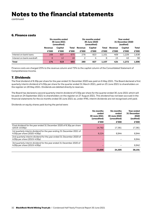# **Notes to the financial statements**

continued

### **6. Finance costs**

|                            | Six months ended<br><b>30 June 2021</b><br>(unaudited) |         |       |         | Six months ended<br><b>30 June 2020</b><br>(unaudited) |       | Year ended<br>31 December 2020<br>(audited) |         |       |
|----------------------------|--------------------------------------------------------|---------|-------|---------|--------------------------------------------------------|-------|---------------------------------------------|---------|-------|
|                            | Revenue                                                | Capital | Total | Revenue | Capital                                                | Total | Revenue                                     | Capital | Total |
|                            | £'000                                                  | £'000   | £'000 | £'000   | £'000                                                  | £'000 | £'000                                       | £'000   | £'000 |
| Interest on bank loans     | 168                                                    | 507     | 675   | 278     | 823                                                    | 1.101 | 409                                         | 1.229   | 1,638 |
| Interest on bank overdraft | 6                                                      | 12      | 18    | 2       | 4                                                      | 6     | 15                                          | 43      | 58    |
| <b>Total</b>               | 174                                                    | 519     | 693   | 280     | 827                                                    | 1.107 | 424                                         | 1.272   | 1,696 |

Finance costs are charged 25% to the revenue column and 75% to the capital column of the Consolidated Statement of Comprehensive Income.

### **7. Dividends**

The final dividend of 8.30p per share for the year ended 31 December 2020 was paid on 6 May 2021. The Board declared a first quarterly interim dividend of 4.50p per share for the quarter ended 31 March 2021, paid on 25 June 2021 to shareholders on the register on 28 May 2021. Dividends are debited directly to reserves.

The Board has declared a second quarterly interim dividend of 5.50p per share for the quarter ended 30 June 2021 which will be paid on 24 September 2021 to shareholders on the register on 27 August 2021. This dividend has not been accrued in the financial statements for the six months ended 30 June 2021 as, under IFRS, interim dividends are not recognised until paid.

Dividends on equity shares paid during the period were:

|                                                                                                         | Six months<br>ended<br>30 June 2021<br>(unaudited)<br>£'000 | Six months<br>ended<br>30 June 2020<br>(unaudited)<br>£'000 | Year ended<br>31 December<br>2020<br>(audited)<br>£'000 |
|---------------------------------------------------------------------------------------------------------|-------------------------------------------------------------|-------------------------------------------------------------|---------------------------------------------------------|
| Final dividend for the year ended 31 December 2020 of 8.30p per share<br>(2019:10.00p)                  | 14,782                                                      | 17.361                                                      | 17,361                                                  |
| 1st quarterly interim dividend for the year ending 31 December 2021 of<br>4.50p per share (2020: 4.00p) | 8.224                                                       | 6.944                                                       | 6.944                                                   |
| 2nd quarterly interim dividend for the year ended 31 December 2020 of<br>4.00p per share (2019: 4.00p)  |                                                             |                                                             | 6.944                                                   |
| 3rd quarterly interim dividend for the year ended 31 December 2020 of<br>4.00p per share (2019: 4.00p)  |                                                             |                                                             | 6.942                                                   |
|                                                                                                         | 23,006                                                      | 24,305                                                      | 38,191                                                  |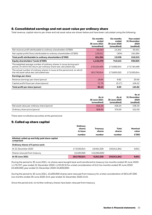### **8. Consolidated earnings and net asset value per ordinary share**

Total revenue, capital returns per share and net asset value are shown below and have been calculated using the following:

|                                                                                                                                           | Six months<br>ended<br>30 June 2021<br>(unaudited) | Six months<br>ended<br>30 June 2020<br>(unaudited) | Year ended<br><b>31 December</b><br>2020<br>(audited) |
|-------------------------------------------------------------------------------------------------------------------------------------------|----------------------------------------------------|----------------------------------------------------|-------------------------------------------------------|
| Net revenue profit attributable to ordinary shareholders (£'000)                                                                          | 33,243                                             | 15,342                                             | 35,451                                                |
| Net capital profit/(loss) attributable to ordinary shareholders (£'000)                                                                   | 128,021                                            | (304)                                              | 181,064                                               |
| Total profit attributable to ordinary shareholders (£'000)                                                                                | 161,264                                            | 15,038                                             | 216,515                                               |
| Equity shareholders' funds (£'000)                                                                                                        | 1,132,270                                          | 743,443                                            | 930,825                                               |
| The weighted average number of ordinary shares in issue during each<br>period, on which the return per ordinary share was calculated was: | 178,324,404                                        | 173,906,653                                        | 173,740,499                                           |
| The actual number of ordinary shares in issue at the period end, on which<br>the net asset value was calculated was:                      | 183,750,814                                        | 173,605,020                                        | 173,550,814                                           |
| <b>Earnings per share</b>                                                                                                                 |                                                    |                                                    |                                                       |
| Revenue earnings per share (pence)                                                                                                        | 18.64                                              | 8.82                                               | 20.40                                                 |
| Capital profit/(loss) per share (pence)                                                                                                   | 71.79                                              | (0.17)                                             | 104.22                                                |
| Total profit per share (pence)                                                                                                            | 90.43                                              | 8.65                                               | 124.62                                                |

|                                            | As at<br><b>30 June 2021</b><br>(unaudited) | As at<br><b>30 June 2020</b><br>(unaudited) | As at<br>31 December<br>2020<br>(audited) |
|--------------------------------------------|---------------------------------------------|---------------------------------------------|-------------------------------------------|
| Net asset value per ordinary share (pence) | 616.20                                      | 428.24                                      | 536.34                                    |
| Ordinary share price (pence)               | 608.00                                      | 376.00                                      | 522.00                                    |

There were no dilutive securities at the period end.

### **9. Called up share capital**

|                                                                | Ordinary<br>shares<br>in issue<br>number | <b>Treasury</b><br>shares<br>number | <b>Total</b><br>shares<br>number | <b>Nominal</b><br>value<br>£'000 |
|----------------------------------------------------------------|------------------------------------------|-------------------------------------|----------------------------------|----------------------------------|
| Allotted, called up and fully paid share capital<br>comprised: |                                          |                                     |                                  |                                  |
| Ordinary shares of 5 pence each:                               |                                          |                                     |                                  |                                  |
| At 31 December 2020                                            | 173,550,814                              | 19.461.028                          | 193,011,842                      | 9,651                            |
| Shares reissued from treasury                                  | 10,200,000                               | (10.200.000)                        | -                                |                                  |
| At 30 June 2021                                                | 183.750.814                              | 9.261.028                           | 193.011.842                      | 9,651                            |

During the period to 30 June 2021, no shares were bought back and transferred to treasury (six months ended 30 June 2020: 1,179,707; year ended 31 December 2020: 1,233,913) for a total consideration of £nil (six months ended 30 June 2020: £4,400,000; year ended 31 December 2020: £4,609,000).

During the period to 30 June 2021, 10,200,000 shares were reissued from treasury for a total consideration of £63,187,000 (six months ended 30 June 2020: £nil; year ended 31 December 2020: £nil).

Since the period end, no further ordinary shares have been reissued from treasury.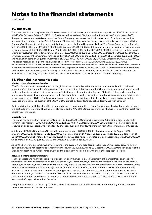# **Notes to the financial statements**

continued

### **10. Reserves**

The share premium and capital redemption reserve are not distributable profits under the Companies Act 2006. In accordance with ICAEW Technical Release 02/17BL on Guidance on Realised and Distributable Profits under the Companies Act 2006, the special reserve and capital reserves of the Parent Company may be used as distributable profits for all purposes and, in particular, the repurchase by the Parent Company of its ordinary shares and for payments as dividends. In accordance with the Company's Articles of Association, net capital returns may be distributed by way of dividend. The Parent Company's capital gains of £764,069,000 (30 June 2020: £454,680,000; 31 December 2020: £634,547,000) comprise a gain on capital reserve arising on investments sold of £307,094,000 (30 June 2020: £260,071,000; 31 December 2020: £275,888,000), a gain on capital reserves arising on revaluation of listed investments of £435,729,000 (30 June 2020: £175,993,000; 31 December 2020: £337,182,000), revaluation gains on the investment in the subsidiary of £7,178,000 (30 June 2020: £7,178,000; 31 December 2020: £7,178,000) and revaluation gains on unquoted investments of £14,068,000 (30 June 2020: £11,438,000; 31 December 2020: £14,299,000). The capital reserves arising on the revaluation of listed investments of £435,729,000 (30 June 2020: £175,993,000; 31 December 2020: £275,888,000) is subject to fair value movements and may not be readily realisable at short notice, as such it may not be entirely distributable. The investments are subject to financial risks, as such Capital reserves (arising on investments sold) and Revenue reserve may not be entirely distributable if a loss occurred during the realisation of these investments. The reserves of the subsidiary company are not distributable until distributed as a dividend to the Parent Company.

### **11. Financial instruments risks**

#### **Market risk arising from price risk**

COVID-19 continues to have an impact on the global economy, supply chains and capital markets, and could continue to adversely affect the economies of many nations across the entire global economy, individual issuers and capital markets, and could continue to an extent that cannot necessarily be foreseen. In addition, the impact of infectious illnesses in emerging market countries may be greater due to generally less established health care systems and low vaccination rates. Public health crises caused by the COVID-19 outbreak may exacerbate other pre-existing political, social and economic risks in certain countries or globally. The duration of the COVID-19 outbreak and its effects cannot be determined with certainty.

By diversifying the portfolio, where this is appropriate and consistent with the Group's objectives, the risk that a price change of a particular investment will have a material impact on the NAV of the Group is minimised which is in line with the investment objectives of the Group.

#### **Liquidity risk**

The Group has an overdraft facility of £30 million (30 June 2020: £30 million; 31 December 2020: £30 million) and a multicurrency loan facility of £200 million (30 June 2020: £150 million; 31 December 2020: £150 million) which are updated and renewed on an annual basis. Under this facility, the individual loan drawdowns are taken with a three month maturity period.

At 30 June 2021, the Group had a US dollar loan outstanding of US\$161,000,000 which matured on 12 August 2021 (30 June 2020: US dollar loan of US\$120,000,000 which matured on 14 August 2020; 31 December 2020: US dollar loan of US\$140,000,000 which matured on 12 May 2021). The Group also had a Pound sterling loan outstanding of GBP£20,000,000 which matured on 12 August 2021 (30 June 2020: £nil; 31 December 2020: £nil).

As per the borrowing agreements, borrowings under the overdraft and loan facilities shall at no time exceed £230 million or 25% of the Group's net asset value (whichever is the lower) (30 June 2020 and 31 December 2020: £180 million or 25% of the Group's net asset value (whichever is lower)) and this covenant was complied with during the respective periods.

#### **Valuation of financial instruments**

Financial assets and financial liabilities are either carried in the Consolidated Statement of Financial Position at their fair value (investments and derivatives) or at amortised cost (due from brokers, dividends and interest receivable, due to brokers, accruals, cash at bank, bank loans and bank overdrafts). IFRS 13 requires the Group to classify fair value measurements using a fair value hierarchy that reflects the significance of inputs used in making the measurements. The valuation techniques used by the Group are explained in the accounting policies note 2(h), as set out in the Group's Annual Report and Financial Statements for the year ended 31 December 2020. All investments are held at fair value through profit or loss. The amortised cost amounts of due from brokers, dividends and interest receivable, due to brokers, accruals, cash at bank, bank loans and bank overdrafts approximate their fair value.

Categorisation within the hierarchy has been determined on the basis of the lowest level input that is significant to the fair value measurement of the relevant asset.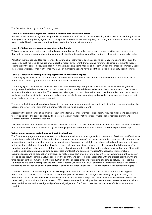The fair value hierarchy has the following levels:

#### **Level 1 – Quoted market price for identical instruments in active markets**

A financial instrument is regarded as quoted in an active market if quoted prices are readily available from an exchange, dealer, pricing service or regulatory agency and those prices represent actual and regularly occurring market transactions on an arm's length basis. The Group does not adjust the quoted price for these instruments.

#### **Level 2 – Valuation techniques using observable inputs**

This category includes instruments valued using quoted prices for similar instruments in markets that are considered less than active, or other valuation techniques where all significant inputs are directly or indirectly observable from market data.

Valuation techniques used for non-standardised financial instruments such as options, currency swaps and other over-thecounter derivatives include the use of comparable recent arm's length transactions, reference to other instruments that are substantially the same, discounted cash flow analysis, option pricing models and other valuation techniques commonly used by market participants making the maximum use of market inputs and relying as little as possible on entity specific inputs.

#### **Level 3 – Valuation techniques using significant unobservable inputs**

This category includes all instruments where the valuation technique includes inputs not based on market data and these inputs could have a significant impact on the instrument's valuation.

This category also includes instruments that are valued based on quoted prices for similar instruments where significant entity determined adjustments or assumptions are required to reflect differences between the instruments and instruments for which there is no active market. The Investment Manager considers observable data to be that market data that is readily available, regularly distributed or updated, reliable and verifiable, not proprietary and provided by independent sources that are actively involved in the relevant market.

The level in the fair value hierarchy within which the fair value measurement is categorised in its entirety is determined on the basis of the lowest level input that is significant to the fair value measurement.

Assessing the significance of a particular input to the fair value measurement in its entirety requires judgement, considering factors specific to the asset or liability. The determination of what constitutes 'observable' inputs requires significant judgement by the Investment Manager.

Over-the-counter derivative option contracts have been classified as Level 2 investments as their valuation has been based on market observable inputs represented by the underlying quoted securities to which these contracts expose the Group.

#### **Valuation process and techniques for Level 3 valuations**

The Directors engage a mining consultant, an independent valuer with a recognised and relevant professional qualification, to conduct a periodic valuation of the contractual rights and the fair value of the contractual rights is assessed with reference to relevant factors. At the reporting date the income streams from contractual rights have been valued on the net present value of the pre-tax cash flows discounted at a rate the external valuer considers reflects the risk associated with the project. The valuation model uses discounted cash flow analysis which incorporates both observable and non-observable data. Observable inputs include assumptions regarding current rates of interest and commodity prices. Unobservable inputs include assumptions regarding production profiles, price realisations, cost of capital and discount rates. In determining the discount rate to be applied, the external valuer considers the country and sovereign risk associated with the project, together with the time horizon to the commencement of production and the success or failure of projects of a similar nature. To assess the significance of a particular input to the entire measurement, the external valuer performs a sensitivity analysis. The external valuer has undertaken an analysis of the impact of using alternative discount rates on the fair value of contractual rights.

This investment in contractual rights is reviewed regularly to ensure that the initial classification remains correct given the asset's characteristics and the Group's investment policies. The contractual rights are initially recognised using the transaction price as it was indicative of the best evidence of fair value at acquisition and are subsequently measured at fair value, taking into consideration the relevant IFRS 13 requirements. In arriving at their estimates of market values, the valuers have used their market knowledge and professional judgement. The Group classifies the fair value of this investment as Level 3.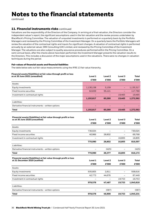# **Notes to the financial statements**

continued

### **11. Financial instruments risks** continued

Valuations are the responsibility of the Directors of the Company. In arriving at a final valuation, the Directors consider the independent valuer's report, the significant assumptions used in the fair valuation and the review process undertaken by BlackRock's Pricing Committee. The valuation of unquoted investments is performed on a quarterly basis by the Portfolio Managers and reviewed by the Pricing Committee of the Investment Manager. On a quarterly basis the Portfolio Managers will review the valuation of the contractual rights and inputs for significant changes. A valuation of contractual rights is performed annually by an external valuer, SRK Consulting (UK) Limited, and reviewed by the Pricing Committee of the Investment Manager. The valuations are also subject to quality assurance procedures performed within the Pricing Committee. On a semi-annual basis, after the checks above have been performed, the Investment Manager presents the valuation results to the Directors. This includes a discussion of the major assumptions used in the valuations. There were no changes in valuation techniques during the period.

#### **Fair values of financial assets and financial liabilities**

The table below sets out fair value measurements using the IFRS 13 fair value hierarchy.

#### **Financial assets/(liabilities) at fair value through profit or loss**

| as at 30 June 2021 (unaudited)                     | Level 1   | Level 2 | Level 3 | Total     |
|----------------------------------------------------|-----------|---------|---------|-----------|
|                                                    | £'000     | £'000   | £'000   | £'000     |
| Assets:                                            |           |         |         |           |
| Equity investments                                 | 1,130,158 | 5,159   | -       | 1,135,317 |
| Fixed income securities                            | 62.659    | 55,121  | -       | 117,780   |
| Investment in contractual rights                   |           |         | 19.465  | 19,465    |
|                                                    | 1,192,817 | 60.280  | 19,465  | 1,272,562 |
| Liabilities:                                       |           |         |         |           |
| Derivative financial instruments - written options |           |         |         |           |
| <b>Total</b>                                       | 1,192,817 | 60.280  | 19.465  | 1,272,562 |

#### **Financial assets/(liabilities) at fair value through profit or loss as at 30 June 2020 (unaudited) Level 1 Level 2 Level 3 Total**

| as at 30 June 2020 (unaudited)                                      | LEVEI 1                  | Level 2                  | ьелег э                  | τυιαι        |
|---------------------------------------------------------------------|--------------------------|--------------------------|--------------------------|--------------|
|                                                                     | £'000                    | £'000                    | £'000                    | £'000        |
| Assets:                                                             |                          |                          |                          |              |
| Equity investments                                                  | 730,024                  |                          | -                        | 730,024      |
| Fixed income securities                                             | 40.966                   | 28,802                   | $\overline{\phantom{0}}$ | 69,768       |
| Investment in contractual rights                                    | $\overline{\phantom{0}}$ | $\overline{\phantom{0}}$ | 16,805                   | 16,805       |
|                                                                     | 770,990                  | 28,802                   | 16,805                   | 816,597      |
| Liabilities:                                                        |                          |                          |                          |              |
| Derivative financial instruments - written options                  |                          | (425)                    |                          | (425)        |
| <b>Total</b>                                                        | 770,990                  | 28,377                   | 16,805                   | 816,172      |
| Financial assets/(liabilities) at fair value through profit or loss |                          |                          |                          |              |
| at 31 December 2020 (audited)                                       | Level 1                  | Level <sub>2</sub>       | Level 3                  | <b>Total</b> |
|                                                                     | £'000                    | £'000                    | £'000                    | £'000        |
| Assets:                                                             |                          |                          |                          |              |
| Equity investments                                                  | 935,805                  | 2,811                    | $\qquad \qquad -$        | 938,616      |
| Fixed income securities                                             | 42,773                   | 44,676                   | —                        | 87,449       |
| Investment in contractual rights                                    | $\overline{\phantom{m}}$ | $\overline{\phantom{m}}$ | 19,753                   | 19,753       |
|                                                                     | 978,578                  | 47,487                   | 19,753                   | 1,045,818    |
| Liabilities:                                                        |                          |                          |                          |              |
| Derivative financial instruments - written options                  |                          | (587)                    |                          | (587)        |
| <b>Total</b>                                                        | 978,578                  | 46,900                   | 19,753                   | 1,045,231    |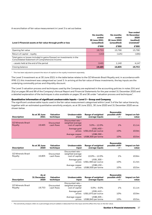A reconciliation of fair value measurement in Level 3 is set out below.

| Level 3 Financial assets at fair value through profit or loss                                                                    | Six months<br>ended<br>30 June 2021<br>(unaudited)<br>£'000 | Six months<br>ended<br>30 June 2020<br>(unaudited)<br>£'000 | Year ended<br><b>31 December</b><br>2020<br>(audited)<br>$(rested)^1$<br>£'000 |
|----------------------------------------------------------------------------------------------------------------------------------|-------------------------------------------------------------|-------------------------------------------------------------|--------------------------------------------------------------------------------|
| Opening fair value                                                                                                               | 19.753                                                      | 15.790                                                      | 15.790                                                                         |
| Return of capital - royalty                                                                                                      | (143)                                                       | (125)                                                       | (184)                                                                          |
| Total gains or losses included in gains/(losses) on investments in the<br><b>Consolidated Statement of Comprehensive Income:</b> |                                                             |                                                             |                                                                                |
| - assets held at the end of the period                                                                                           | (145)                                                       | 1.140                                                       | 4.147                                                                          |
| Closing balance                                                                                                                  | 19,465                                                      | 16.805                                                      | 19,753                                                                         |

 $1$  This has been adjusted to present the return of capital on the royalty investment separately.

The Level 3 investment as at 30 June 2021 in the table below relates to the OZ Minerals Brazil Royalty and, in accordance with IFRS 13, this investment was categorised as Level 3. In arriving at the fair value of these investments, the key inputs are the underlying commodity prices and illiquidity discount.

The Level 3 valuation process and techniques used by the Company are explained in the accounting policies in notes 2(h) and 2(q) on pages 98 and 99 of the Company's Annual Report and Financial Statements for the year ended 31 December 2020 and a detailed explanation of the techniques is also available on pages 35 and 36 under "valuation process and techniques".

#### **Quantitative information of significant unobservable inputs – Level 3 – Group and Company**

The significant unobservable inputs used in the fair value measurement categorised within Level 3 of the fair value hierarchy, together with an estimated quantitative sensitivity analysis, as at 30 June 2021, 30 June 2020 and 31 December 2020 are as shown below.

| <b>Description</b>                   | As at 30 June<br>2021 | Valuation<br>technique          | <b>Unobservable</b><br>input                               | <b>Range of weighted</b><br>average inputs | Reasonable<br>possible shift <sup>1</sup><br>$+/-$ | Impact on fair<br>value |
|--------------------------------------|-----------------------|---------------------------------|------------------------------------------------------------|--------------------------------------------|----------------------------------------------------|-------------------------|
| <b>OZ Minerals Brazil</b><br>Royalty | 19,465                | <b>Discounted</b><br>cash flows | Discounted rate $-$<br>weighted average<br>cost of capital | $5.0\% - 12.0\%$                           | 1%                                                 | £1.1m                   |
|                                      |                       |                                 | Average gold<br>prices                                     | $US$1,450-$<br>US\$1,816 per ounce         | 10%                                                | £0.9 <sub>m</sub>       |
|                                      |                       |                                 | Average copper<br>prices                                   | $US$6.390-$<br>US\$8,300 per tonne         | 10%                                                | £0.5m                   |

| <b>Description</b>                   | As at 30 June<br>2020 | Valuation<br>techniaue   | <b>Unobservable</b><br>input                             | Range of weighted<br>average inputs | Reasonable<br>possible shift <sup>1</sup><br>$+/-$ | Impact on fair<br>value |
|--------------------------------------|-----------------------|--------------------------|----------------------------------------------------------|-------------------------------------|----------------------------------------------------|-------------------------|
| <b>OZ Minerals Brazil</b><br>Royalty | 16.805                | Discounted<br>cash flows | Discounted rate -<br>weighted average<br>cost of capital | $10.0\% - 12.0\%$                   | $1\%$                                              | £0.8m                   |
|                                      |                       |                          | Average gold<br>prices                                   | US\$1.300 -<br>US\$1,460 per ounce  | 10%                                                | £1.4m                   |
|                                      |                       |                          | Average copper<br>prices                                 | US\$6.150 -<br>US\$6,500 per tonne  | 10%                                                | £0.5m                   |

| <b>Description</b>                   | As at<br>31 December<br>2020 | Valuation<br>technique   | <b>Unobservable</b><br>input                             | Range of weighted<br>average inputs | Reasonable<br>possible shift <sup>1</sup><br>$+/-$ | Impact on fair<br>value |
|--------------------------------------|------------------------------|--------------------------|----------------------------------------------------------|-------------------------------------|----------------------------------------------------|-------------------------|
| <b>OZ Minerals Brazil</b><br>Royalty | 19,753                       | Discounted<br>cash flows | Discounted rate -<br>weighted average<br>cost of capital | $5.0\% - 9.0\%$                     | $1\%$                                              | £1.1m                   |
|                                      |                              |                          | Average gold<br>prices                                   | $US$1.410 -$<br>US\$1,870 per ounce | 10%                                                | £0.9m                   |
|                                      |                              |                          | Average copper<br>prices                                 | $US$6.305 -$<br>US\$6,945 per tonne | 10%                                                | £0.5m                   |

 $1$  The sensitivity analysis refers to a percentage amount added or deducted from the input and the effect this has on the fair value.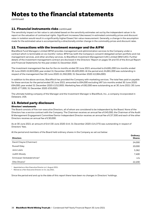# **Notes to the financial statements**

continued

### **11. Financial instruments risks** continued

The sensitivity impact on fair value is calculated based on the sensitivity estimates set out by the independent valuer in its report on the valuation of contractual rights. Significant increases/(decreases) in estimated commodity prices and discount rates in isolation would result in a significantly higher/(lower) fair value measurement. Generally, a change in the assumption made for the estimated value is accompanied by a directionally similar change in the commodity prices and discount rates.

### **12. Transactions with the investment manager and the AIFM**

BlackRock Fund Managers Limited (BFM) provides management and administration services to the Company under a contract which is terminable on six months' notice. BFM has (with the Company's consent) delegated certain portfolio and risk management services, and other ancillary services, to BlackRock Investment Management (UK) Limited (BIM (UK)). Further details of the investment management contract are disclosed in the Directors' Report on pages 54 and 55 of the Annual Report and Financial Statements for the year ended 31 December 2020.

The investment management fee due for the six months ended 30 June 2021 amounted to £4,681,000 (six months ended 30 June 2020: £2,603,000; year ended 31 December 2020: £6,405,000). At the period end, £4,681,000 was outstanding in respect of the management fee (30 June 2020: £1,592,000; 31 December 2020: £2,064,000).

In addition to the above services, BlackRock has provided the Company with marketing services. The total fees paid or payable for these services for the period ended 30 June 2021 amounted to £64,000 excluding VAT (six months ended 30 June 2020: £64,000; year ended 31 December 2020: £152,000). Marketing fees of £82,000 were outstanding as at 30 June 2021 (30 June 2020: £77,000; 31 December 2020: £55,000).

The ultimate holding company of the Manager and the Investment Manager is BlackRock, Inc., a company incorporated in Delaware, USA.

### **13. Related party disclosure**

#### **Directors' emoluments**

The Board consists of five non-executive Directors, all of whom are considered to be independent by the Board. None of the Directors has a service contract with the Company. The Chairman receives an annual fee of £45,000, the Chairman of the Audit & Management Engagement Committee/Senior Independent Director receives an annual fee of £37,500 and each of the other Directors receives an annual fee of £30,000.

As at 30 June 2021 an amount of £nil (30 June 2020: £nil; 31 December 2020: £14,375) was outstanding in respect of Directors' fees.

At the period end members of the Board held ordinary shares in the Company as set out below:

| <b>Directors</b>                        | <b>Ordinary</b><br><b>Shares</b> |
|-----------------------------------------|----------------------------------|
| David Cheyne (Chairman)                 | 24,000                           |
| <b>Russell Edey</b>                     | 20,000                           |
| Jane Lewis                              | 5,362                            |
| Judith Mosely                           | 7,400                            |
| Sriniyasan Venkatakrishnan <sup>1</sup> | n/a                              |
| Ollie Oliveira <sup>2</sup>             | 22,200                           |

<sup>1</sup> Appointed as a Non Executive Director on 1 August 2021.

<sup>2</sup> Retired as a Non Executive Director on 31 July 2021.

Since the period end and up to the date of this report there have been no changes in Directors' holdings.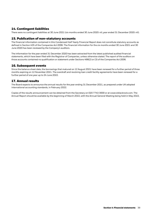### **14. Contingent liabilities**

There were no contingent liabilities at 30 June 2021 (six months ended 30 June 2020: nil; year ended 31 December 2020: nil).

### **15. Publication of non-statutory accounts**

The financial information contained in this Condensed Half Yearly Financial Report does not constitute statutory accounts as defined in Section 435 of the Companies Act 2006. The financial information for the six months ended 30 June 2021 and 30 June 2020 has been reviewed by the Company's auditors.

The information for the year ended 31 December 2020 has been extracted from the latest published audited financial statements, which have been filed with the Registrar of Companies, unless otherwise stated. The report of the auditors on those accounts contained no qualification or statement under Sections 498(2) or (3) of the Companies Act 2006.

### **16. Subsequent events**

Since the balance sheet date, the borrowings that matured on 12 August 2021 have been renewed for a further period of three months expiring on 12 November 2021. The overdraft and revolving loan credit facility agreements have been renewed for a further period of one year up to 24 June 2022.

### **17. Annual results**

The Board expects to announce the annual results for the year ending 31 December 2021, as prepared under UK adopted international accounting standards, in February 2022.

Copies of the results announcement can be obtained from the Secretary on 020 7743 3000 or at cosec@blackrock.com. The Annual Report should be available by the beginning of March 2022, with the Annual General Meeting being held in May 2022.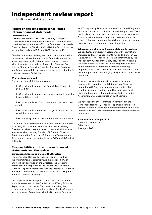# **Independent review report**

to BlackRock World Mining Trust plc

### **Report on the condensed consolidated interim financial statements**

#### **Our conclusion**

We have reviewed BlackRock World Mining Trust plc's condensed consolidated interim financial statements (the "interim financial statements") in the Condensed Half Yearly Financial Report of BlackRock World Mining Trust plc for the six month period ended 30 June 2021 (the "period").

Based on our review, nothing has come to our attention that causes us to believe that the interim financial statements are not prepared, in all material respects, in accordance with UK adopted International Accounting Standard 34, 'Interim Financial Reporting' and the Disclosure Guidance and Transparency Rules sourcebook of the United Kingdom's Financial Conduct Authority.

#### **What we have reviewed**

The interim financial statements comprise:

- the Consolidated statement of financial position as at 30 June 2021;
- the Consolidated statement of comprehensive income for the period then ended;
- the Consolidated cash flow statement for the period then ended;
- the Consolidated statement of changes in equity for the period then ended; and
- the explanatory notes to the interim financial statements.

The interim financial statements included in the Condensed Half Yearly Financial Report of BlackRock World Mining Trust plc have been prepared in accordance with UK adopted International Accounting Standard 34, 'Interim Financial Reporting' and the Disclosure Guidance and Transparency Rules sourcebook of the United Kingdom's Financial Conduct Authority.

#### **Responsibilities for the interim financial statements and the review**

**Our responsibilities and those of the Directors**

The Condensed Half Yearly Financial Report, including the interim financial statements, is the responsibility of, and has been approved by the Directors. The Directors are responsible for preparing the Condensed Half Yearly Financial Report in accordance with the Disclosure Guidance and Transparency Rules sourcebook of the United Kingdom's Financial Conduct Authority.

Our responsibility is to express a conclusion on the interim financial statements in the Condensed Half Yearly Financial Report based on our review. This report, including the conclusion, has been prepared for and only for the Company for the purpose of complying with the Disclosure Guidance

and Transparency Rules sourcebook of the United Kingdom's Financial Conduct Authority and for no other purpose. We do not, in giving this conclusion, accept or assume responsibility for any other purpose or to any other person to whom this report is shown or into whose hands it may come save where expressly agreed by our prior consent in writing.

#### **What a review of interim financial statements involves**

We conducted our review in accordance with International Standard on Review Engagements (UK and Ireland) 2410, 'Review of Interim Financial Information Performed by the Independent Auditor of the Entity' issued by the Auditing Practices Board for use in the United Kingdom. A review of interim financial information consists of making enquiries, primarily of persons responsible for financial and accounting matters, and applying analytical and other review procedures.

A review is substantially less in scope than an audit conducted in accordance with International Standards on Auditing (UK) and, consequently, does not enable us to obtain assurance that we would become aware of all significant matters that might be identified in an audit. Accordingly, we do not express an audit opinion.

We have read the other information contained in the Condensed Half Yearly Financial Report and considered whether it contains any apparent misstatements or material inconsistencies with the information in the interim financial statements.

#### **PricewaterhouseCoopers LLP**

Chartered Accountants Edinburgh 19 August 2021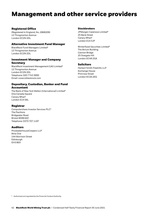# **Management and other service providers**

#### **Registered Office**

(Registered in England, No. 2868209) 12 Throgmorton Avenue London EC2N 2DL

#### **Alternative Investment Fund Manager**

BlackRock Fund Managers Limited\* 12 Throgmorton Avenue London EC2N 2DL

#### **Investment Manager and Company Secretary**

BlackRock Investment Management (UK) Limited\* 12 Throgmorton Avenue London EC2N 2DL Telephone: 020 7743 3000 Email: cosec@blackrock.com

#### **Depositary, Custodian, Banker and Fund Accountant**

The Bank of New York Mellon (International) Limited\* One Canada Square Canary Wharf London E14 5AL

#### **Registrar**

Computershare Investor Services PLC\* The Pavilions Bridgwater Road Bristol BS99 6ZZ Telephone: 0370 707 1187

#### **Auditors**

PricewaterhouseCoopers LLP Atria One 144 Morrison Street Edinburgh EH3 8EX

#### **Stockbrokers**

JPMorgan Cazenove Limited\* 25 Bank Street Canary Wharf London E14 5JP

Winterflood Securities Limited\* The Atrium Building Cannon Bridge 25 Dowgate Hill London EC4R 2GA

#### **Solicitors**

Herbert Smith Freehills LLP Exchange House Primrose Street London EC2A 2EG

\* Authorised and regulated by the Financial Conduct Authority.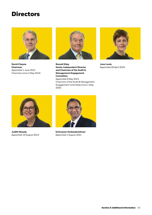# **Directors**



**David Cheyne Chairman** Appointed 1 June 2012 Chairman since 2 May 2019



**Russell Edey Senior Independent Director and Chairman of the Audit & Management Engagement Committee** Appointed 8 May 2014 Chairman of the Audit & Management Engagement Committee since 1 May 2020



**Jane Lewis** Appointed 28 April 2016



**Judith Mosely** Appointed 19 August 2014



**Srinivasan Venkatakrishnan** Appointed 1 August 2021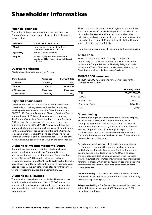# **Shareholder information**

#### **Financial calendar**

The timing of the announcement and publication of the Company's results may normally be expected in the months shown below:

| <b>February</b> | Annual results announced.                                                                        |
|-----------------|--------------------------------------------------------------------------------------------------|
| March           | Hard copies of Annual Report and<br>Financial Statements published.                              |
| April/May       | Annual General Meeting.                                                                          |
| August          | Half yearly figures announced and<br><b>Condensed Half Yearly Financial Report</b><br>published. |

#### **Quarterly dividends**

Dividends will be paid quarterly as follows:

| <b>Period ending</b> | <b>Announce</b> | <b>Payment date</b> |
|----------------------|-----------------|---------------------|
| 31 March             | April/May       | June                |
| 30 June              | August          | September           |
| 30 September         | November        | December            |
| 31 December          | February        | May                 |

### **Payment of dividends**

Cash dividends will be sent by cheque to the first-named shareholder at their registered address. Dividends may also be paid direct into a shareholder's bank account via BACSTEL-IP (Bankers' Automated Clearing Service – Telecom Internet Protocol). This may be arranged by contacting the Company's registrar, Computershare Investor Services PLC, through their secure website investorcentre.co.uk, or by telephone on 0370 707 1187, or by completing the Mandate Instructions section on the reverse of your dividend confirmation statement and sending this to the Company's registrar, Computershare. Dividend confirmations will be sent to shareholders at their registered address, unless other instructions have been given, to arrive on the payment date.

### **Dividend reinvestment scheme (DRIP)**

Shareholders may request that their dividends be used to purchase further shares in the Company. Dividend reinvestment forms may be obtained from Computershare Investor Services PLC through their secure website investorcentre.co.uk or on 0370 707 1187. Shareholders who have already opted to have their dividends reinvested do not need to reapply. The last date for registering for this service for the forthcoming dividend is 3 September 2021.

#### **Dividend tax allowance**

The annual tax-free allowance on dividend income across an individual's entire share portfolio is £2,000. Above this amount, individuals pay tax on their dividend income at a rate dependent on their income tax bracket and personal circumstances.

The Company continues to provide registered shareholders with confirmation of the dividends paid and this should be included with any other dividend income received when calculating and reporting total dividend income received. It is a shareholder's responsibility to include all dividend income when calculating any tax liability.

If you have any tax queries, please contact a financial advisor.

#### **Share price**

The Company's mid-market ordinary share price is quoted daily in The Financial Times and The Times under 'Investment Companies' and in The Daily Telegraph under 'Investment Trusts'. The share price is also available on the BlackRock website at blackrock.com/uk/brwm.

#### **ISIN/SEDOL numbers**

The ISIN/SEDOL numbers and mnemonic codes for the Company's shares are:

|                       | <b>Ordinary shares</b> |
|-----------------------|------------------------|
| <b>ISIN</b>           | GB0005774855           |
| SEDOL                 | 0577485                |
| Reuters Code          | BRWM.L                 |
| <b>Bloomberg Code</b> | <b>BRWM LN</b>         |
| Ticker                | <b>BRWM</b>            |

### **Share dealing**

Investors wishing to purchase more shares in the Company or sell all or part of their existing holding may do so through a stockbroker. Most banks also offer this service. Alternatively, they can do so by creating a Trading Account at www.computershare.com/dealing/uk. To purchase this investment, you must have read the Key Information Document before the trade can be executed. Computershare can email or post this to you.

For existing shareholders not looking to purchase shares, the Company's registrar, Computershare, has an internet and telephone share dealing service. The telephone share dealing service is available on 0370 703 0084. To access the internet share dealing service, you will need to access www.computershare.com/dealing/uk using your shareholder reference number, which can be found on paper or electronic communications that you have previously received from Computershare.

**Internet dealing** – The fee for this service is 1% of the value of the transaction (subject to a minimum of £30). Stamp duty of 0.5% is payable on purchases.

**Telephone dealing** – The fee for this service will be 1% of the value of the transaction (plus £50). Stamp duty of 0.5% is payable on purchases.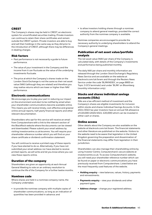#### **CREST**

The Company's shares may be held in CREST, an electronic system for uncertificated securities trading. Private investors can continue to retain their share certificates and remain outside the CREST system. Private investors are able to buy and sell their holdings in the same way as they did prior to the introduction of CREST, although there may be differences in dealing charges.

#### **Risk factors**

- Past performance is not necessarily a guide to future performance.
- The value of your investment in the Company and the income from it can fluctuate as the value of the underlying investments fluctuate.
- The price at which the Company's shares trade on the London Stock Exchange is not the same as their net asset value (NAV) (although they are related) and therefore you may realise returns which are lower or higher than NAV performance.

#### **Electronic communications**

We encourage you to play your part in reducing our impact on the environment and elect to be notified by email when your shareholder communications become available online. This means you will receive timely, cost-effective and greener online annual reports, half yearly financial reports and other relevant documentation.

Shareholders who opt for this service will receive an email from Computershare with a link to the relevant section of the BlackRock website where the documents can be viewed and downloaded. Please submit your email address by visiting investorcentre.co.uk/ecomms. You will require your shareholder reference number which you will find on your share certificate or dividend confirmation statement.

You will continue to receive a printed copy of these reports if you have elected to do so. Alternatively, if you have not submitted your email address nor have elected to receive printed reports, we will write and let you know where you can view these reports online.

#### **Duration of the company**

Shareholders are given an opportunity at each Annual General Meeting to vote on an ordinary resolution to continue the life of the Company for a further twelve months.

#### **Nominee code**

Where shares are held in a nominee company name, the Company undertakes:

• to provide the nominee company with multiple copies of shareholder communications, so long as an indication of quantities has been provided in advance; and

• to allow investors holding shares through a nominee company to attend general meetings, provided the correct authority from the nominee company is available.

Nominee companies are encouraged to provide the necessary authority to underlying shareholders to attend the Company's general meetings.

#### **Publication of net asset value/portfolio analysis**

The net asset value (NAV) per share of the Company is calculated daily, with details of the Company's investments and performance being published monthly.

The daily NAV per share and monthly information are released through the London Stock Exchange's Regulatory News Service and are available on the website at blackrock.com/uk/brwm and through the Reuters News Service under the code 'BLRKINDEX', on page 8800 on Topic 3 (ICV terminals) and under 'BLRK' on Bloomberg (monthly information only).

#### **Stocks and shares individual savings accounts (ISAs)**

ISAs are a tax-efficient method of investment and the Company's shares are eligible investments for inclusion within stocks and shares Individual Savings Accounts. In the 2021/2022 tax year investors have an annual ISA allowance of £20,000 (2020/2021: £20,000) which can be invested in either cash or shares.

#### **Online access**

Other details about the Company are also available on the website at blackrock.com/uk/brwm. The financial statements and other literature are published on the website. Visitors to the website need to be aware that legislation in the United Kingdom governing the preparation and dissemination of the financial statements may differ from legislation in their jurisdiction.

Shareholders can also manage their shareholding online by using Investor Centre, Computershare's secure website at investorcentre.co.uk. To access Computershare's website, you will need your shareholder reference number which can be found on paper or electronic communications you have previously received from Computershare. Listed below are the most frequently used features of the website.

- **Holding enquiry** view balances, values, history, payments and reinvestments.
- **Payments enquiry** view your dividends and other payment types.
- **Address change** change your registered address.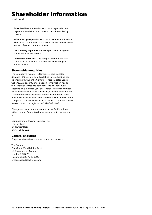# **Shareholder information**

continued

- **Bank details update** choose to receive your dividend payment directly into your bank account instead of by cheque.
- **e-Comms sign-up** choose to receive email notifications when your shareholder communications become available instead of paper communications.
- **Outstanding payments** reissue payments using the online replacement service.
- **Downloadable forms** including dividend mandates, stock transfer, dividend reinvestment and change of address forms.

#### **Shareholder enquiries**

The Company's registrar is Computershare Investor Services PLC. Certain details relating to your holding can be checked through the Computershare Investor Centre website. As a security check, specific information needs to be input accurately to gain access to an individual's account. This includes your shareholder reference number, available from your share certificate, dividend confirmation statement or other electronic communications you have previously received from Computershare. The address of the Computershare website is investorcentre.co.uk. Alternatively, please contact the registrar on 0370 707 1187.

Changes of name or address must be notified in writing either through Computershare's website, or to the registrar at:

Computershare Investor Services PLC The Pavilions Bridgwater Road Bristol BS99 6ZZ

#### **General enquiries**

Enquiries about the Company should be directed to:

The Secretary BlackRock World Mining Trust plc 12 Throgmorton Avenue London EC2N 2DL Telephone: 020 7743 3000 Email: cosec@blackrock.com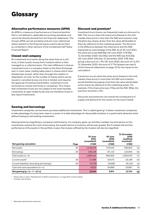# **Glossary**

#### **Alternative performance measures (APM)**

An APM is a measure of performance or financial position that is not defined in applicable accounting standards and cannot be directly derived from the financial statements. The Group's APMs are set out below and are cross-referenced where relevant to the financial inputs used to derive them as contained in other sections of the Condensed Half Yearly Financial Report.

#### **Closed-end company**

An investment trust works along the same lines as a unit trust, in that it pools money from investors which is then managed on a collective basis. The main difference is that an investment trust is a company listed on the Stock Exchange and, in most cases, trading takes place in shares which have already been issued, rather than through the creation or redemption of units. As the number of shares which can be issued or cancelled at any one time is limited, and requires the approval of existing shareholders, investment trusts are known as closed-end funds or companies. This means that investment trusts are not subject to the same liquidity constraints as open ended funds and can therefore invest in less liquid investments.

#### **Discount and premium\***

Investment trust shares can frequently trade at a discount to NAV. This occurs when the share price (based on the midmarket share price) is less than the NAV and investors may therefore buy shares at less than the value attributable to them by reference to the underlying assets. The discount is the difference between the share price and the NAV, expressed as a percentage of the NAV. As at 30 June 2021, the share price was 608.00p (30 June 2020: 376.00p; 31 December 2020: 522.00p) and the NAV was 616.20p (30 June 2020: 428.24p; 31 December 2020: 536.34p) giving a discount of 1.3% (30 June 2020: discount of 12.2%; 31 December 2020: discount of 2.7%) (please see note 8 of the financial statements on page 33 for the inputs to the calculation).

A premium occurs when the share price (based on the midmarket share price) is more than the NAV and investors would therefore be paying more than the value attributable to the shares by reference to the underlying assets. For example, if the share price was 370p and the NAV 365p, the premium would be 1.4%.

Discounts and premiums are mainly the consequence of supply and demand for the shares on the stock market.

#### **Gearing and borrowings**

Investment companies can borrow to purchase additional investments. This is called 'gearing'. It allows investment companies to take advantage of a long-term view on a sector or to take advantage of a favourable situation or a particularly attractive stock without having to sell existing investments.

Gearing works by magnifying a company's performance. If a company 'gears up' and then markets rise and returns on the investments outstrip the costs of borrowing, the overall returns to investors will be even greater. But if markets fall and the performance of the assets in the portfolio is poor, then losses suffered by the investor will also be magnified.

| <b>Net gearing calculation</b>             | Page | 30 June<br>2021<br>(unaudited)<br>£'000 | 30 June<br>2020<br>(unaudited)<br>£'000 | <b>31 December</b><br>2020<br>(audited)<br>$(re stated)^1$<br>£'000 |     |
|--------------------------------------------|------|-----------------------------------------|-----------------------------------------|---------------------------------------------------------------------|-----|
| Net assets                                 | 26   | 1,132,270                               | 743.443                                 | 930.825                                                             | (a) |
| <b>Borrowings</b>                          | 26   | 148.149                                 | 97.119                                  | 124.845                                                             | (b) |
| Total assets $(a + b)$                     |      | 1,280,419                               | 840.562                                 | 1,055,670                                                           | (c) |
| Current assets <sup>2</sup>                | 26   | 13,398                                  | 33.475                                  | 16.199                                                              | (d) |
| Current liabilities (excluding borrowings) | 26   | (5,378)                                 | (9,406)                                 | (6, 132)                                                            | (e) |
| Cash and cash equivalents $(d + e)$        |      | 8,020                                   | 24.069                                  | 10,067                                                              | (f) |
| Net gearing $(g = (c - f - a)/a)$          |      | 12.4%                                   | 9.8%                                    | 12.3%                                                               | (g) |

<sup>1</sup> Please refer to note 2 "Restatement of 2020 comparatives" on page 28 for further details.

<sup>2</sup> Includes cash at bank.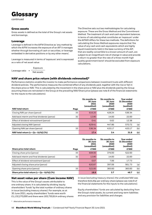# **Glossary**

continued

#### **Gross assets**

Gross assets is defined as the total of the Group's net assets and borrowings.

#### **Leverage**

Leverage is defined in the AIFM Directive as 'any method by which the AIFM increases the exposure of an AIF it manages whether through borrowing of cash or securities, or leverage embedded in derivative positions or by any other means'.

Leverage is measured in terms of 'exposure' and is expressed as a ratio of net asset value:

Leverage ratio  $=$ Exposure Net assets The Directive sets out two methodologies for calculating exposure. These are the Gross Method and the Commitment Method. The treatment of cash and cash equivalent balances in terms of calculating what constitutes an 'exposure' under the AIFMD differs for these two methods. The definitions for calculating the Gross Method exposures require that 'the value of any cash and cash equivalents which are highly liquid investments held in the base currency of the AIF, that are readily convertible to a known amount of cash, are subject to an insignificant risk of change in value and provide a return no greater than the rate of a three-month high quality government bond' should be excluded from exposure calculations.

#### **NAV and share price return (with dividends reinvested)\***

Performance statistics enable the investor to make performance comparisons between investment trusts with different dividend policies. The performance measures the combined effect of any dividends paid, together with the rise or fall in the share price or NAV. This is calculated by the movement in the share price or NAV plus the dividends paid by the Group assuming these are reinvested in the Group at the prevailing NAV/Share price (please see note 8 of the financial statements for the inputs to the calculations).

| <b>NAV total return</b>                      | Page | Six months to<br>30 June<br>2021<br>(unaudited)<br>£'000 | Six months to<br>30 June<br>2020<br>(unaudited)<br>£'000 | Year ended<br>31 December<br>2020<br>(audited)<br>£'000 |     |
|----------------------------------------------|------|----------------------------------------------------------|----------------------------------------------------------|---------------------------------------------------------|-----|
| Closing NAV per share (pence)                | 33   | 616.20                                                   | 428.24                                                   | 536.34                                                  |     |
| Add back interim and final dividends (pence) | 32   | 12.80                                                    | 14.00                                                    | 22.00                                                   |     |
| Effect of dividend reinvestment (pence)      |      | 0.41                                                     | 5.62                                                     | 12.38                                                   |     |
| Adjusted closing NAV (pence)                 |      | 629.41                                                   | 447.86                                                   | 570.72                                                  | (a) |
| Opening NAV per share (pence)                | 33   | 536.34                                                   | 433.17                                                   | 433.17                                                  | (b) |
| NAV total return $(c = ((a - b)/b))$ (%)     |      | 17.4                                                     | 3.4                                                      | 31.8                                                    | (c) |

| Share price total return                         | Page | Six months to<br>30 June<br>2021<br>(unaudited)<br>£'000 | Six months to<br>30 June<br>2020<br>(unaudited)<br>£'000 | Year ended<br><b>31 December</b><br>2020<br>(audited)<br>£'000 |     |
|--------------------------------------------------|------|----------------------------------------------------------|----------------------------------------------------------|----------------------------------------------------------------|-----|
| Closing share price (pence)                      | 33   | 608.00                                                   | 376.00                                                   | 522.00                                                         |     |
| Add back interim and final dividends (pence)     | 32   | 12.80                                                    | 14.00                                                    | 22.00                                                          |     |
| Effect of dividend reinvestment (pence)          |      | 0.07                                                     | 7.06                                                     | 17.73                                                          |     |
| Adjusted closing share price (pence)             |      | 620.87                                                   | 397.06                                                   | 561.73                                                         | (a) |
| Opening share price (pence)                      | 33   | 522.00                                                   | 383.00                                                   | 383.00                                                         | (b) |
| Share price total return $(c = ((a - b)/b))$ (%) |      | 18.9                                                     | 3.7                                                      | 46.7                                                           | (c) |

#### **Net asset value per share (Cum income NAV)**

This is the value of the Group's assets attributable to one ordinary share. It is calculated by dividing 'equity shareholders' funds' by the total number of ordinary shares in issue (excluding treasury shares). For example, as at 30 June 2021, equity shareholders' funds were worth £1,132,270,000 and there were 183,750,814 ordinary shares

in issue (excluding treasury shares); the undiluted NAV was therefore 616.20p per ordinary share (please see note 8 of the financial statements for the inputs to the calculations).

Equity shareholders' funds are calculated by deducting from the Group's total assets, its current and long-term liabilities and any provision for liabilities and charges.

\* Alternative performance measures.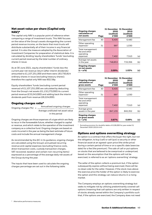#### **Net asset value per share (Capital only NAV)\***

The capital only NAV is a popular point of reference when comparing a range of investment trusts. This NAV focuses on the value of the Group's assets disregarding the current period revenue income, on the basis that most trusts will distribute substantially all of their income in any financial period. It is also the measure adopted by the Association of Investment Companies for preparation of statistical data. It is calculated by dividing 'equity shareholders' funds' (excluding current period revenue) by the total number of ordinary shares in issue.

As at 30 June 2021, equity shareholders' funds less the current year net revenue return (after interim dividends) amounted to £1,107,251,000 and there were 183,750,814 ordinary shares in issue (excluding treasury shares); therefore the capital only NAV was 602.58p.

Equity shareholders' funds (excluding current period revenue) of £1,107,251,000 are calculated by deducting from the Group's net assets (£1,132,270,000) its current period revenue (£33,243,000) and adding back the interim dividends paid from revenue (£8,224,000).

#### **Ongoing charges ratio\***

Ongoing charges  $(\%) =$  Annualised ongoing charges Average undiluted net asset value

in the period

Ongoing charges are those expenses of a type which are likely to recur in the foreseeable future, whether charged to capital or revenue, and which relate to the operation of the investment company as a collective fund. Ongoing charges are based on costs incurred in the year as being the best estimate of future costs and include the annual management charge.

As recommended by the AIC in its guidance, ongoing charges are calculated using the Group's annualised recurring revenue and capital expenses (excluding finance costs, direct transaction costs, custody transaction charges, VAT recovered, taxation and certain non-recurring items) expressed as a percentage of the average daily net assets of the Group during the year.

The inputs that have been used to calculate the ongoing charges percentage are set out in the following table.

| <b>Ongoing charges</b><br>calculation on<br>net assets     | Page | 2020<br>(audited)<br>£'000 | 31 December 31 December<br>2019<br>(audited)<br>£'000 |     |
|------------------------------------------------------------|------|----------------------------|-------------------------------------------------------|-----|
| Management fee                                             | 30   | 6,405                      | 6,480                                                 |     |
| Other operating<br>express <sup>1</sup>                    | 31   | 997                        | 1,030                                                 |     |
| Total management<br>fee and other<br>operating<br>expenses |      | 7,402                      | 7,510                                                 | (a) |
| Average net assets<br>in the year                          |      | 748,853                    | 733,356                                               | (b) |
| <b>Ongoing charges</b><br>on net assets<br>$(c = a/b)$     |      | $0.99\%$                   | 1.02%                                                 | (c) |

| <b>Ongoing charges</b><br>calculation on<br>gross assets   | Page | 2020<br>(audited)<br>£'000 | 31 December 31 December<br>2019<br>(audited)<br>£'000 |     |
|------------------------------------------------------------|------|----------------------------|-------------------------------------------------------|-----|
| Management fee                                             | 30   | 6,405                      | 6,480                                                 |     |
| Other operating<br>express <sup>1</sup>                    | 31   | 997                        | 1,030                                                 |     |
| Total management<br>fee and other<br>operating<br>expenses |      | 7,402                      | 7,510                                                 | (a) |
| Average gross<br>assets in the year                        |      | 847,155                    | 845,352                                               | (b) |
| <b>Ongoing charges</b><br>on gross assets<br>$(c = a/b)$   |      | 0.87%                      | $0.89\%$                                              | (c) |

<sup>1</sup> Excluding provision for doubtful debts of £106,000 for year ended  $31$ December 2020 (2019: £nil).

#### **Options and options overwriting strategy**

An option is a contract that offers the buyer the right, but not the obligation, to buy (call) or sell (put) a security or other financial asset at an agreed-upon price (the strike price) during a certain period of time or on a specific date (exercise date) for a fee (the premium). The sale of call or put options on stocks that are believed to be overpriced or underpriced, based on the assumption that the options will not be exercised, is referred to as an 'options overwriting' strategy.

The seller of the option collects a premium but, if the option subsequently expires without being exercised, there will be no down side for the seller. However, if the stock rises above the exercise price the holder of the option is likely to exercise the option and this strategy can reduce returns in a rising market.

The Company employs an options overwriting strategy but seeks to mitigate risk by utilising predominantly covered call options (meaning that call options are only written in respect of stocks already owned within the Company's portfolio such that, if the options are exercised, the Company does not need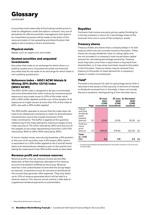# **Glossary**

continued

to purchase stock externally at fluctuating market prices to meet its obligations under the options contract). Any use of derivatives for efficient portfolio management and options for investment purposes will be made on the basis of the same principles of risk spreading and diversification that apply to the Company's direct investments.

#### **Physical metals**

Metals such as copper, zinc and nickel.

#### **Quoted securities and unquoted investments**

Securities that trade on an exchange for which there is a publicly quoted price. Unquoted securities are financial securities that do not trade on an exchange for which there is not a publicly quoted price.

#### **Reference index – MSCI ACWI Metals & Mining 30% Buffer 10/40 Index (MSCI ACWI)**

The MSCI ACWI index is designed to be less concentrated and more diversified than other indices by constraining the exposure to any single issuer to 10% of the index value, with a 30% buffer applied, and the sum of the weights of all exposures to single issuers at more than 5% of the index at 40%, also with a 30% buffer applied.

The 30% buffer operates to ensure that the index does not have to be rebalanced constantly to retain its diversification characteristics due to the market movement of the index constituents. The buffer is applied at the quarterly rebalancing of the index taking the maximum weight of any index security to 7% (10% reduced by 30%) and the sum of the weights of securities representing more than 3.5% (5% reduced by 30%) to 28% (40% reduced by 30%).

If, due to market moves, any security breaches a 9% position, or the sum of all securities over 4.5% breach 36%, (which is equivalent to a 10% buffer applied to the 5 and 40 levels) there is an extraordinary rebalance prior to the quarter end taking the index back to the 30% buffer levels as described.

#### **Revenue profit and revenue reserves**

Revenue profit is the net revenue income earned after deduction of fees and expenses allocated to the revenue account and taxation suffered by the Group. Revenue reserves is the undistributed income that the Group keeps as reserves. Investment trusts do not have to distribute all the income they generate, after expenses. They may retain up to 15% of revenue generated which will be held in a revenue reserve. This reserve can be used at a later date to supplement dividend payments to shareholders.

#### **Royalties**

Contracts that involve one party giving capital (funding) to a mining company in return for a percentage share of the revenues from one or more of the company's assets.

#### **Treasury shares**

Treasury shares are shares that a company keeps in its own treasury which are not currently issued to the public. These shares do not pay dividends, have no voting rights and are not included in a company's total issued share capital amount for calculating percentage ownership. Treasury stock may have come from a repurchase or buy back from shareholders, or it may never have been issued to the public in the first place. Treasury shares may be reissued from treasury to the public to meet demand for a company's shares in certain circumstances.

#### **Yield\***

The yield is the amount of cash (in percentage terms) that is returned to the owners of the security, in the form of interest or dividends received from it. Normally, it does not include the price variations, distinguishing it from the total return.

|                                                                               | Page | 30 June<br>2021<br>£'000<br>(unaudited) | 2020<br>£'000<br>(unaudited) | 30 June 31 December<br>2020<br>£'000<br>(audited) |     |
|-------------------------------------------------------------------------------|------|-----------------------------------------|------------------------------|---------------------------------------------------|-----|
| Interim<br>and final<br>dividends<br>paid/<br>payable<br>(pence) <sup>1</sup> | 32   | 20.80                                   | 22.00                        | 20.30                                             | (a) |
| Ordinary<br>share<br>price<br>(pence)                                         | 33   | 608.00                                  | 376.00                       | 522.00                                            | (b) |
| Yield<br>$(c = a/b)$<br>(%)                                                   |      | 3.4                                     | 5.9                          | 3.9                                               | (c) |

<sup>1.</sup> Comprising dividends declared/paid for the twelve months to 30 June and 31 December.

\* Alternative performance measures.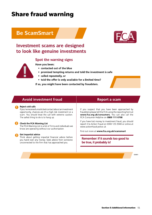# **Share fraud warning**

# **Be ScamSmart**

# **Investment scams are designed** to look like genuine investments

### Spot the warning signs

Have you been:

- contacted out of the blue
- promised tempting returns and told the investment is safe
- called repeatedly, or
- told the offer is only available for a limited time?

If so, you might have been contacted by fraudsters.

## **Avoid investment fraud**

#### **Reject cold calls**

If you've received unsolicited contact about an investment opportunity, chances are it's a high risk investment or a scam. You should treat the call with extreme caution. The safest thing to do is to hang up.

#### **Check the FCA Warning List**

The FCA Warning List is a list of firms and individuals we know are operating without our authorisation.

#### **Get impartial advice**

Think about getting impartial financial advice before you hand over any money. Seek advice from someone unconnected to the firm that has approached you.

### **Report a scam**

If you suspect that you have been approached by fraudsters please tell the FCA using the reporting form at www.fca.org.uk/consumers. You can also call the FCA Consumer Helpline on 0800 111 6768

If you have lost money to investment fraud, you should report it to Action Fraud on 0300 123 2040 or online at www.actionfraud.police.uk

Find out more at www.fca.org.uk/scamsmart

Remember: if it sounds too good to be true, it probably is!



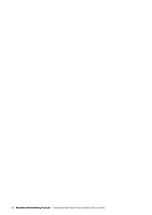**BlackRock World Mining Trust plc** l Condensed Half Yearly Financial Report 30 June 2021